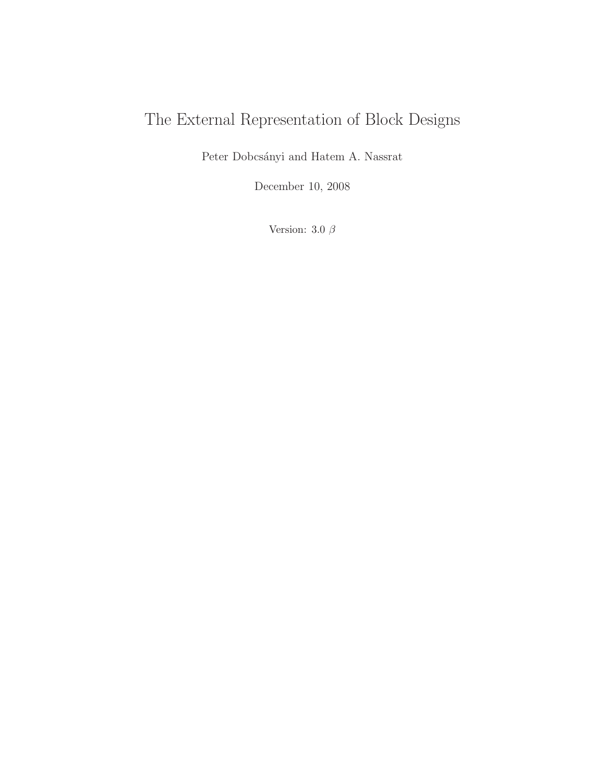# The External Representation of Block Designs

Peter Dobcsányi and Hatem A. Nassrat

December 10, 2008

Version: 3.0 $\beta$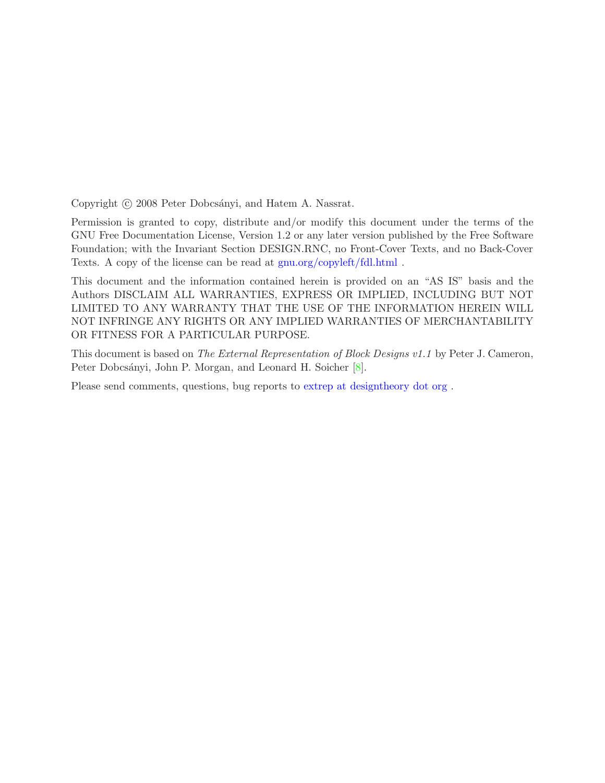Copyright © 2008 Peter Dobcsányi, and Hatem A. Nassrat.

Permission is granted to copy, distribute and/or modify this document under the terms of the GNU Free Documentation License, Version 1.2 or any later version published by the Free Software Foundation; with the Invariant Section DESIGN.RNC, no Front-Cover Texts, and no Back-Cover Texts. A copy of the license can be read at [gnu.org/copyleft/fdl.html](http://www.gnu.org/copyleft/fdl.html) .

This document and the information contained herein is provided on an "AS IS" basis and the Authors DISCLAIM ALL WARRANTIES, EXPRESS OR IMPLIED, INCLUDING BUT NOT LIMITED TO ANY WARRANTY THAT THE USE OF THE INFORMATION HEREIN WILL NOT INFRINGE ANY RIGHTS OR ANY IMPLIED WARRANTIES OF MERCHANTABILITY OR FITNESS FOR A PARTICULAR PURPOSE.

This document is based on The External Representation of Block Designs v1.1 by Peter J. Cameron, Peter Dobcsányi, John P. Morgan, and Leonard H. Soicher [\[8\]](#page-44-0).

Please send comments, questions, bug reports to [extrep at designtheory dot org](mailto:extrep@designtheory.org) .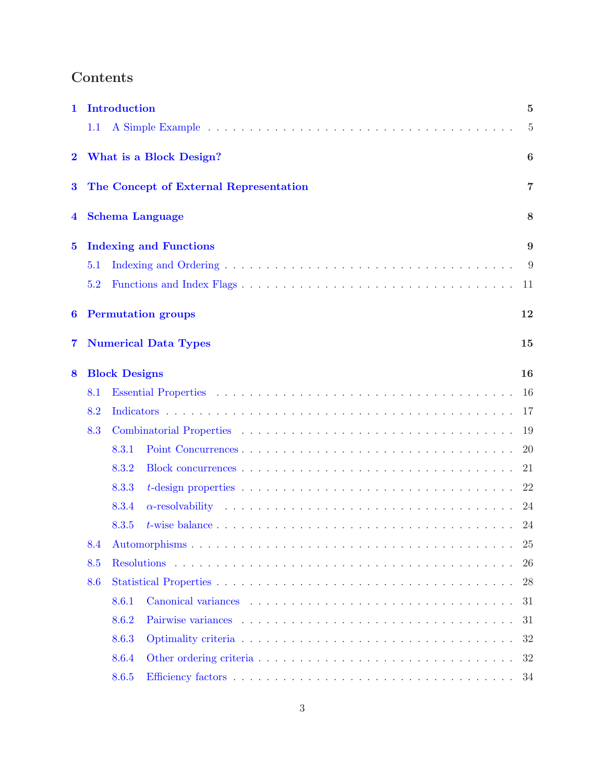## Contents

| 1                       |                      | <b>Introduction</b>                    | $\bf{5}$         |  |
|-------------------------|----------------------|----------------------------------------|------------------|--|
|                         | 1.1                  |                                        | $\overline{5}$   |  |
| $\overline{\mathbf{2}}$ |                      | What is a Block Design?                | $\boldsymbol{6}$ |  |
| $\bf{3}$                |                      | The Concept of External Representation | $\overline{7}$   |  |
| 4                       |                      | <b>Schema Language</b>                 | 8                |  |
| $\bf{5}$                |                      | <b>Indexing and Functions</b>          | 9                |  |
|                         | 5.1                  |                                        | 9                |  |
|                         | 5.2                  |                                        | 11               |  |
| 6                       |                      | <b>Permutation groups</b>              | 12               |  |
| 7                       |                      | <b>Numerical Data Types</b>            | 15               |  |
| 8                       | <b>Block Designs</b> |                                        |                  |  |
|                         | 8.1                  |                                        | 16               |  |
|                         | 8.2                  |                                        | 17               |  |
|                         | 8.3                  |                                        | 19               |  |
|                         |                      | 8.3.1                                  | <b>20</b>        |  |
|                         |                      | 8.3.2                                  | 21               |  |
|                         |                      | 8.3.3                                  | 22               |  |
|                         |                      | 8.3.4                                  | 24               |  |
|                         |                      | 8.3.5                                  | 24               |  |
|                         | 8.4                  |                                        | 25               |  |
|                         | 8.5                  |                                        | 26               |  |
|                         | 8.6                  |                                        | 28               |  |
|                         |                      | 8.6.1                                  | 31               |  |
|                         |                      | 8.6.2                                  | 31               |  |
|                         |                      | 8.6.3                                  | 32               |  |
|                         |                      | 8.6.4                                  | 32               |  |
|                         |                      | 8.6.5                                  |                  |  |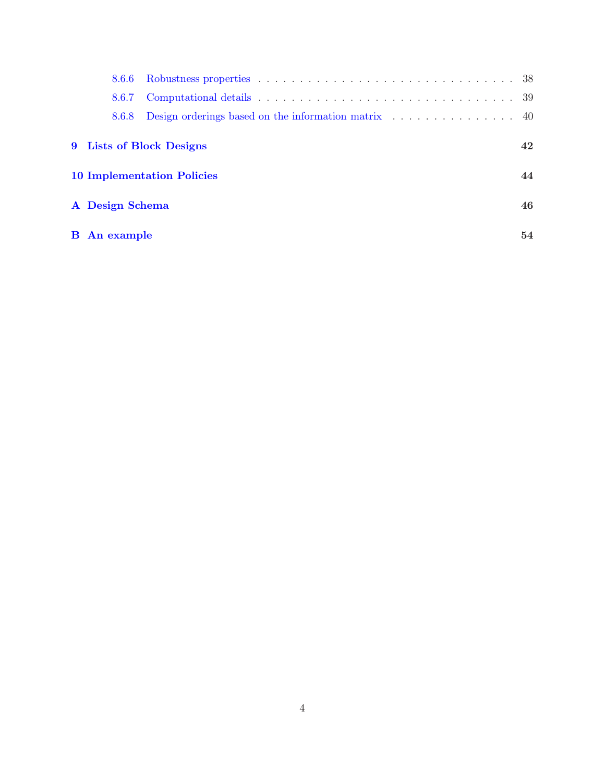| 8.6.6                                   |                                                                                  |    |  |  |  |
|-----------------------------------------|----------------------------------------------------------------------------------|----|--|--|--|
| 8.6.7                                   |                                                                                  |    |  |  |  |
| 8.6.8                                   | Design orderings based on the information matrix $\dots \dots \dots \dots \dots$ |    |  |  |  |
|                                         | 9 Lists of Block Designs                                                         | 42 |  |  |  |
| 44<br><b>10 Implementation Policies</b> |                                                                                  |    |  |  |  |
| A Design Schema                         |                                                                                  |    |  |  |  |
| <b>B</b> An example                     |                                                                                  | 54 |  |  |  |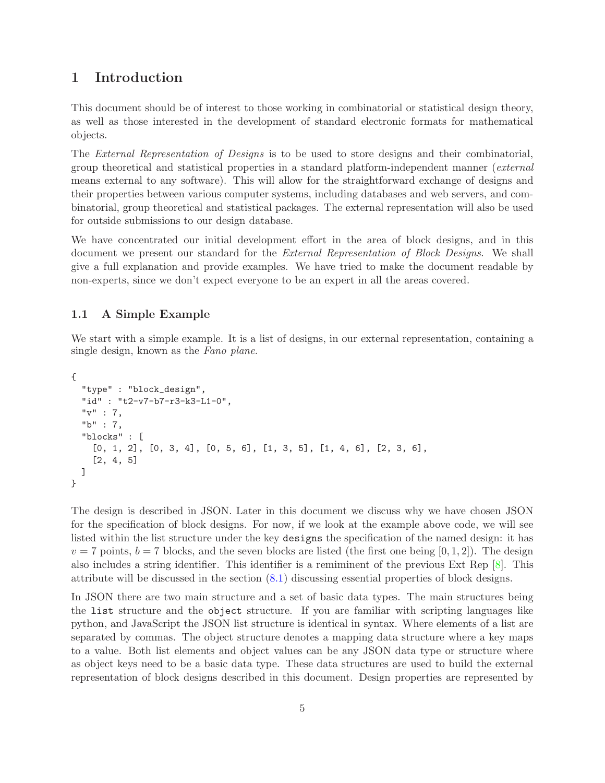## <span id="page-4-0"></span>1 Introduction

This document should be of interest to those working in combinatorial or statistical design theory, as well as those interested in the development of standard electronic formats for mathematical objects.

The *External Representation of Designs* is to be used to store designs and their combinatorial, group theoretical and statistical properties in a standard platform-independent manner (external means external to any software). This will allow for the straightforward exchange of designs and their properties between various computer systems, including databases and web servers, and combinatorial, group theoretical and statistical packages. The external representation will also be used for outside submissions to our design database.

We have concentrated our initial development effort in the area of block designs, and in this document we present our standard for the External Representation of Block Designs. We shall give a full explanation and provide examples. We have tried to make the document readable by non-experts, since we don't expect everyone to be an expert in all the areas covered.

## <span id="page-4-1"></span>1.1 A Simple Example

We start with a simple example. It is a list of designs, in our external representation, containing a single design, known as the Fano plane.

```
{
  "type" : "block_design",
  "id" : "t2-v7-b7-r3-k3-L1-0",
  "v" : 7,
  "b" : 7,
  "blocks" : [
    [0, 1, 2], [0, 3, 4], [0, 5, 6], [1, 3, 5], [1, 4, 6], [2, 3, 6],[2, 4, 5]
 ]
}
```
The design is described in JSON. Later in this document we discuss why we have chosen JSON for the specification of block designs. For now, if we look at the example above code, we will see listed within the list structure under the key designs the specification of the named design: it has  $v = 7$  points,  $b = 7$  blocks, and the seven blocks are listed (the first one being [0, 1, 2]). The design also includes a string identifier. This identifier is a remiminent of the previous Ext Rep [\[8\]](#page-44-0). This attribute will be discussed in the section [\(8.1\)](#page-15-1) discussing essential properties of block designs.

In JSON there are two main structure and a set of basic data types. The main structures being the list structure and the object structure. If you are familiar with scripting languages like python, and JavaScript the JSON list structure is identical in syntax. Where elements of a list are separated by commas. The object structure denotes a mapping data structure where a key maps to a value. Both list elements and object values can be any JSON data type or structure where as object keys need to be a basic data type. These data structures are used to build the external representation of block designs described in this document. Design properties are represented by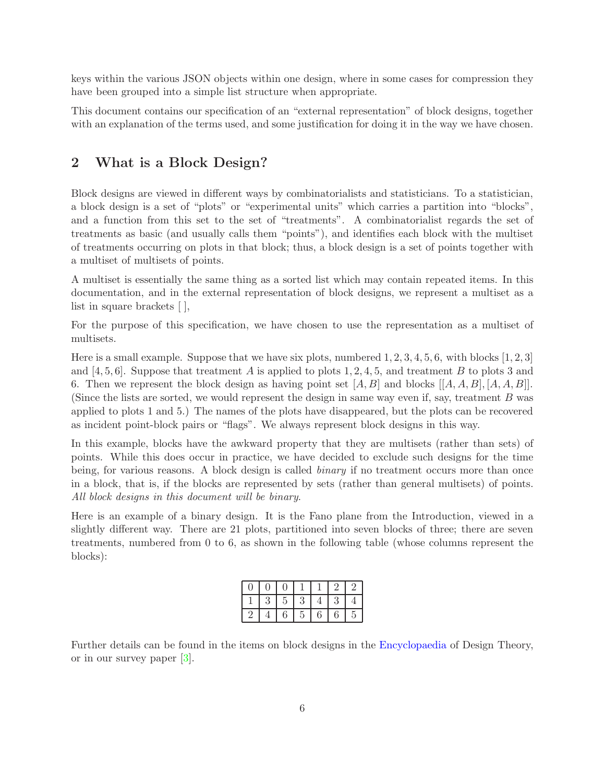keys within the various JSON objects within one design, where in some cases for compression they have been grouped into a simple list structure when appropriate.

This document contains our specification of an "external representation" of block designs, together with an explanation of the terms used, and some justification for doing it in the way we have chosen.

## <span id="page-5-0"></span>2 What is a Block Design?

Block designs are viewed in different ways by combinatorialists and statisticians. To a statistician, a block design is a set of "plots" or "experimental units" which carries a partition into "blocks", and a function from this set to the set of "treatments". A combinatorialist regards the set of treatments as basic (and usually calls them "points"), and identifies each block with the multiset of treatments occurring on plots in that block; thus, a block design is a set of points together with a multiset of multisets of points.

A multiset is essentially the same thing as a sorted list which may contain repeated items. In this documentation, and in the external representation of block designs, we represent a multiset as a list in square brackets [ ],

For the purpose of this specification, we have chosen to use the representation as a multiset of multisets.

Here is a small example. Suppose that we have six plots, numbered  $1, 2, 3, 4, 5, 6$ , with blocks  $[1, 2, 3]$ and [4, 5, 6]. Suppose that treatment A is applied to plots 1, 2, 4, 5, and treatment B to plots 3 and 6. Then we represent the block design as having point set  $[A, B]$  and blocks  $[[A, A, B], [A, A, B]]$ . (Since the lists are sorted, we would represent the design in same way even if, say, treatment B was applied to plots 1 and 5.) The names of the plots have disappeared, but the plots can be recovered as incident point-block pairs or "flags". We always represent block designs in this way.

In this example, blocks have the awkward property that they are multisets (rather than sets) of points. While this does occur in practice, we have decided to exclude such designs for the time being, for various reasons. A block design is called *binary* if no treatment occurs more than once in a block, that is, if the blocks are represented by sets (rather than general multisets) of points. All block designs in this document will be binary.

Here is an example of a binary design. It is the Fano plane from the Introduction, viewed in a slightly different way. There are 21 plots, partitioned into seven blocks of three; there are seven treatments, numbered from 0 to 6, as shown in the following table (whose columns represent the blocks):

|            | 3 | 5 | 3             | 4                | 3     |                |
|------------|---|---|---------------|------------------|-------|----------------|
| $\epsilon$ |   | 6 | $\mathcal{L}$ | $\boldsymbol{6}$ | $\,6$ | $\overline{5}$ |

Further details can be found in the items on block designs in the [Encyclopaedia](http://designtheory.org/library/encyc) of Design Theory, or in our survey paper [\[3\]](#page-43-1).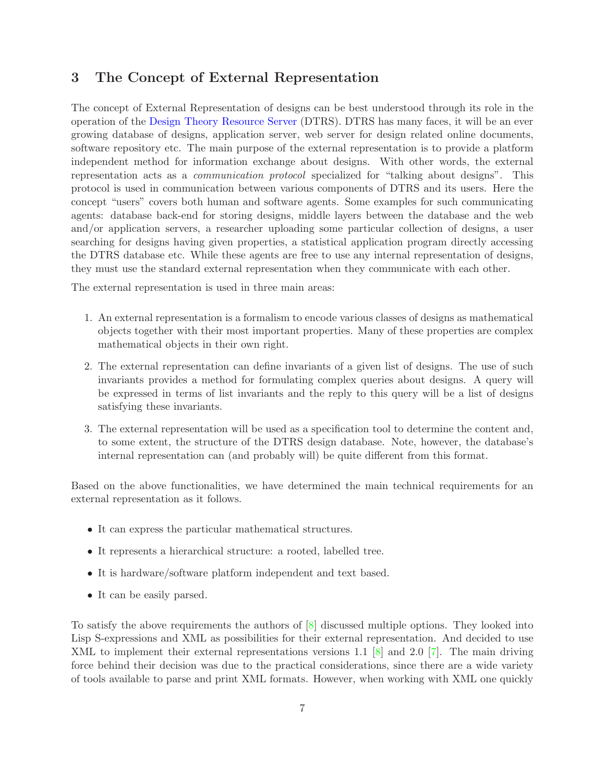## <span id="page-6-0"></span>3 The Concept of External Representation

The concept of External Representation of designs can be best understood through its role in the operation of the [Design Theory Resource Server](http://designtheory.org) (DTRS). DTRS has many faces, it will be an ever growing database of designs, application server, web server for design related online documents, software repository etc. The main purpose of the external representation is to provide a platform independent method for information exchange about designs. With other words, the external representation acts as a communication protocol specialized for "talking about designs". This protocol is used in communication between various components of DTRS and its users. Here the concept "users" covers both human and software agents. Some examples for such communicating agents: database back-end for storing designs, middle layers between the database and the web and/or application servers, a researcher uploading some particular collection of designs, a user searching for designs having given properties, a statistical application program directly accessing the DTRS database etc. While these agents are free to use any internal representation of designs, they must use the standard external representation when they communicate with each other.

The external representation is used in three main areas:

- 1. An external representation is a formalism to encode various classes of designs as mathematical objects together with their most important properties. Many of these properties are complex mathematical objects in their own right.
- 2. The external representation can define invariants of a given list of designs. The use of such invariants provides a method for formulating complex queries about designs. A query will be expressed in terms of list invariants and the reply to this query will be a list of designs satisfying these invariants.
- 3. The external representation will be used as a specification tool to determine the content and, to some extent, the structure of the DTRS design database. Note, however, the database's internal representation can (and probably will) be quite different from this format.

Based on the above functionalities, we have determined the main technical requirements for an external representation as it follows.

- It can express the particular mathematical structures.
- It represents a hierarchical structure: a rooted, labelled tree.
- It is hardware/software platform independent and text based.
- It can be easily parsed.

To satisfy the above requirements the authors of [\[8\]](#page-44-0) discussed multiple options. They looked into Lisp S-expressions and XML as possibilities for their external representation. And decided to use XML to implement their external representations versions 1.1 [\[8\]](#page-44-0) and 2.0 [\[7\]](#page-43-2). The main driving force behind their decision was due to the practical considerations, since there are a wide variety of tools available to parse and print XML formats. However, when working with XML one quickly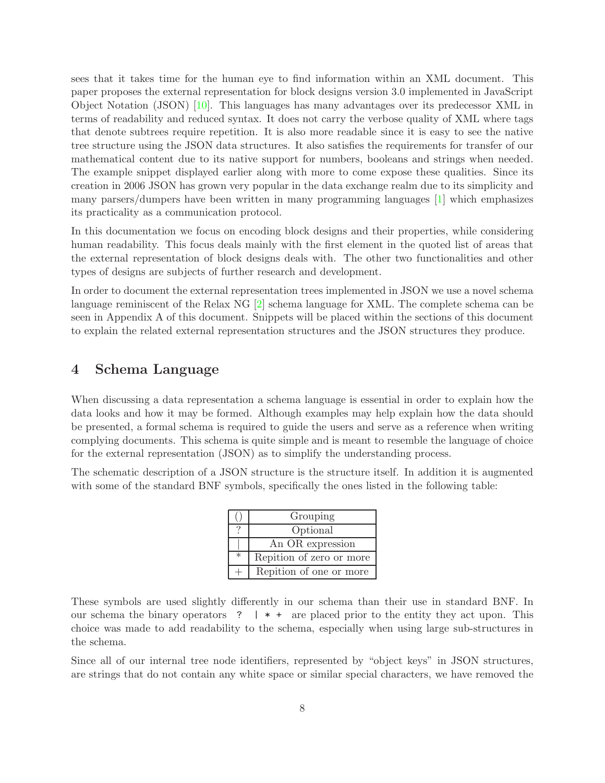sees that it takes time for the human eye to find information within an XML document. This paper proposes the external representation for block designs version 3.0 implemented in JavaScript Object Notation (JSON) [\[10\]](#page-44-1). This languages has many advantages over its predecessor XML in terms of readability and reduced syntax. It does not carry the verbose quality of XML where tags that denote subtrees require repetition. It is also more readable since it is easy to see the native tree structure using the JSON data structures. It also satisfies the requirements for transfer of our mathematical content due to its native support for numbers, booleans and strings when needed. The example snippet displayed earlier along with more to come expose these qualities. Since its creation in 2006 JSON has grown very popular in the data exchange realm due to its simplicity and many parsers/dumpers have been written in many programming languages [\[1\]](#page-43-3) which emphasizes its practicality as a communication protocol.

In this documentation we focus on encoding block designs and their properties, while considering human readability. This focus deals mainly with the first element in the quoted list of areas that the external representation of block designs deals with. The other two functionalities and other types of designs are subjects of further research and development.

In order to document the external representation trees implemented in JSON we use a novel schema language reminiscent of the Relax NG [\[2\]](#page-43-4) schema language for XML. The complete schema can be seen in Appendix A of this document. Snippets will be placed within the sections of this document to explain the related external representation structures and the JSON structures they produce.

## <span id="page-7-0"></span>4 Schema Language

When discussing a data representation a schema language is essential in order to explain how the data looks and how it may be formed. Although examples may help explain how the data should be presented, a formal schema is required to guide the users and serve as a reference when writing complying documents. This schema is quite simple and is meant to resemble the language of choice for the external representation (JSON) as to simplify the understanding process.

The schematic description of a JSON structure is the structure itself. In addition it is augmented with some of the standard BNF symbols, specifically the ones listed in the following table:

|        | Grouping                 |  |  |
|--------|--------------------------|--|--|
|        | Optional                 |  |  |
|        | An OR expression         |  |  |
| $\ast$ | Repition of zero or more |  |  |
|        | Repition of one or more  |  |  |

These symbols are used slightly differently in our schema than their use in standard BNF. In our schema the binary operators ?  $\vert * \vert * \vert$  are placed prior to the entity they act upon. This choice was made to add readability to the schema, especially when using large sub-structures in the schema.

Since all of our internal tree node identifiers, represented by "object keys" in JSON structures, are strings that do not contain any white space or similar special characters, we have removed the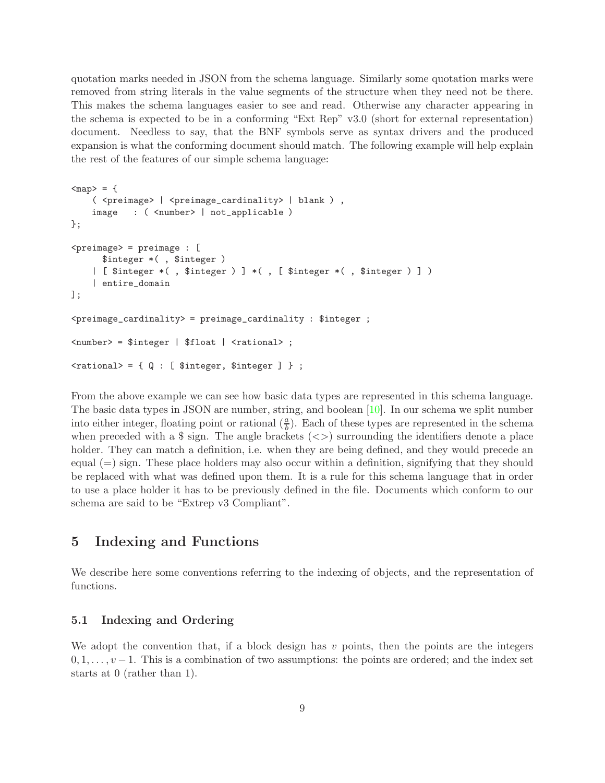quotation marks needed in JSON from the schema language. Similarly some quotation marks were removed from string literals in the value segments of the structure when they need not be there. This makes the schema languages easier to see and read. Otherwise any character appearing in the schema is expected to be in a conforming "Ext Rep" v3.0 (short for external representation) document. Needless to say, that the BNF symbols serve as syntax drivers and the produced expansion is what the conforming document should match. The following example will help explain the rest of the features of our simple schema language:

```
<sub>map</sub> = {</sub>
   ( <preimage> | <preimage_cardinality> | blank ) ,
   image : ( <number> | not_applicable )
};
\langlepreimage> = preimage : [
     $integer *( , $integer )
   | [ $integer *( , $integer ) ] *( , [ $integer *( , $integer ) ] )
   | entire_domain
];
<preimage_cardinality> = preimage_cardinality : $integer ;
<number> = $integer | $float | <rational> ;
\{
```
From the above example we can see how basic data types are represented in this schema language. The basic data types in JSON are number, string, and boolean [\[10\]](#page-44-1). In our schema we split number into either integer, floating point or rational  $(\frac{a}{b})$ . Each of these types are represented in the schema when preceded with a  $\frac{1}{2}$  sign. The angle brackets ( $\lt$ ) surrounding the identifiers denote a place holder. They can match a definition, i.e. when they are being defined, and they would precede an equal  $(=)$  sign. These place holders may also occur within a definition, signifying that they should be replaced with what was defined upon them. It is a rule for this schema language that in order to use a place holder it has to be previously defined in the file. Documents which conform to our schema are said to be "Extrep v3 Compliant".

## <span id="page-8-0"></span>5 Indexing and Functions

We describe here some conventions referring to the indexing of objects, and the representation of functions.

## <span id="page-8-1"></span>5.1 Indexing and Ordering

We adopt the convention that, if a block design has  $v$  points, then the points are the integers  $0, 1, \ldots, v-1$ . This is a combination of two assumptions: the points are ordered; and the index set starts at 0 (rather than 1).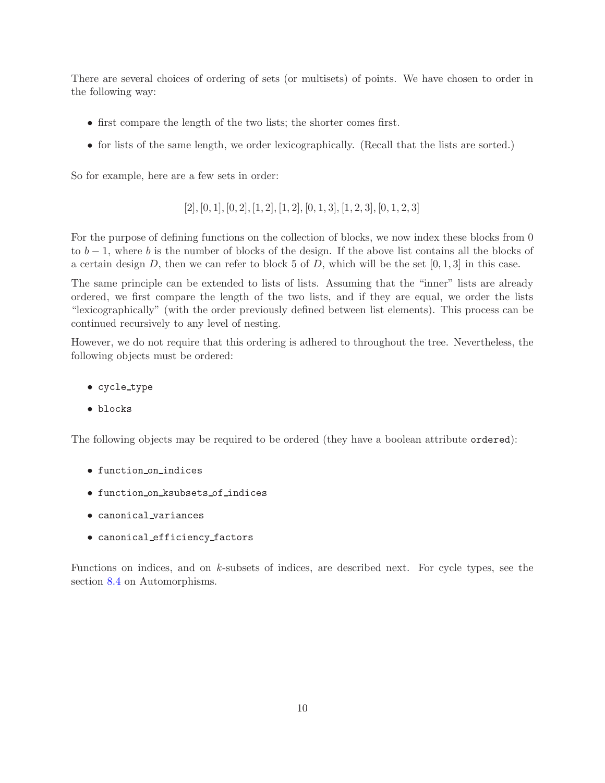There are several choices of ordering of sets (or multisets) of points. We have chosen to order in the following way:

- first compare the length of the two lists; the shorter comes first.
- for lists of the same length, we order lexicographically. (Recall that the lists are sorted.)

So for example, here are a few sets in order:

 $[2], [0, 1], [0, 2], [1, 2], [1, 2], [0, 1, 3], [1, 2, 3], [0, 1, 2, 3]$ 

For the purpose of defining functions on the collection of blocks, we now index these blocks from 0 to  $b-1$ , where b is the number of blocks of the design. If the above list contains all the blocks of a certain design D, then we can refer to block 5 of D, which will be the set  $[0, 1, 3]$  in this case.

The same principle can be extended to lists of lists. Assuming that the "inner" lists are already ordered, we first compare the length of the two lists, and if they are equal, we order the lists "lexicographically" (with the order previously defined between list elements). This process can be continued recursively to any level of nesting.

However, we do not require that this ordering is adhered to throughout the tree. Nevertheless, the following objects must be ordered:

- cycle type
- blocks

The following objects may be required to be ordered (they have a boolean attribute ordered):

- function on indices
- function on ksubsets of indices
- canonical variances
- canonical efficiency factors

Functions on indices, and on k-subsets of indices, are described next. For cycle types, see the section [8.4](#page-24-0) on Automorphisms.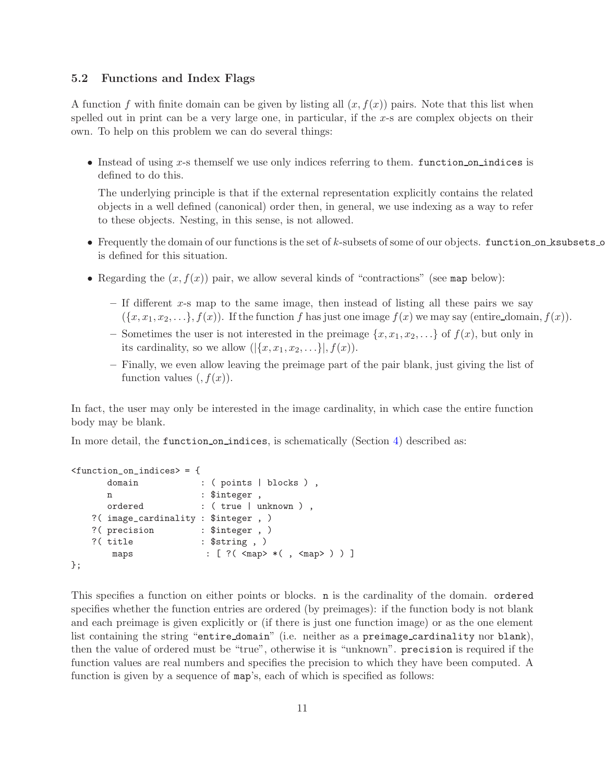## <span id="page-10-0"></span>5.2 Functions and Index Flags

A function f with finite domain can be given by listing all  $(x, f(x))$  pairs. Note that this list when spelled out in print can be a very large one, in particular, if the  $x$ -s are complex objects on their own. To help on this problem we can do several things:

• Instead of using x-s themself we use only indices referring to them. function on indices is defined to do this.

The underlying principle is that if the external representation explicitly contains the related objects in a well defined (canonical) order then, in general, we use indexing as a way to refer to these objects. Nesting, in this sense, is not allowed.

- Frequently the domain of our functions is the set of k-subsets of some of our objects. function on ksubsets o is defined for this situation.
- Regarding the  $(x, f(x))$  pair, we allow several kinds of "contractions" (see map below):
	- $-$  If different x-s map to the same image, then instead of listing all these pairs we say  $(\{x, x_1, x_2, \ldots\}, f(x))$ . If the function f has just one image  $f(x)$  we may say (entire domain,  $f(x)$ ).
	- Sometimes the user is not interested in the preimage  $\{x, x_1, x_2, \ldots\}$  of  $f(x)$ , but only in its cardinality, so we allow  $(|\{x, x_1, x_2, \ldots\}|, f(x)).$
	- Finally, we even allow leaving the preimage part of the pair blank, just giving the list of function values  $(f(x))$ .

In fact, the user may only be interested in the image cardinality, in which case the entire function body may be blank.

In more detail, the function on indices, is schematically (Section [4\)](#page-7-0) described as:

```
<function_on_indices> = {
     domain : ( points | blocks ),
     n : $integer,
     ordered : (true | unknown ),
  ?( image_cardinality : $integer , )
  ?( precision : $integer , )
   ?( title : $string , )
      maps : [ ?( <map> *( , <map> ) ) ]
};
```
This specifies a function on either points or blocks. n is the cardinality of the domain. ordered specifies whether the function entries are ordered (by preimages): if the function body is not blank and each preimage is given explicitly or (if there is just one function image) or as the one element list containing the string "entire domain" (i.e. neither as a preimage cardinality nor blank), then the value of ordered must be "true", otherwise it is "unknown". precision is required if the function values are real numbers and specifies the precision to which they have been computed. A function is given by a sequence of map's, each of which is specified as follows: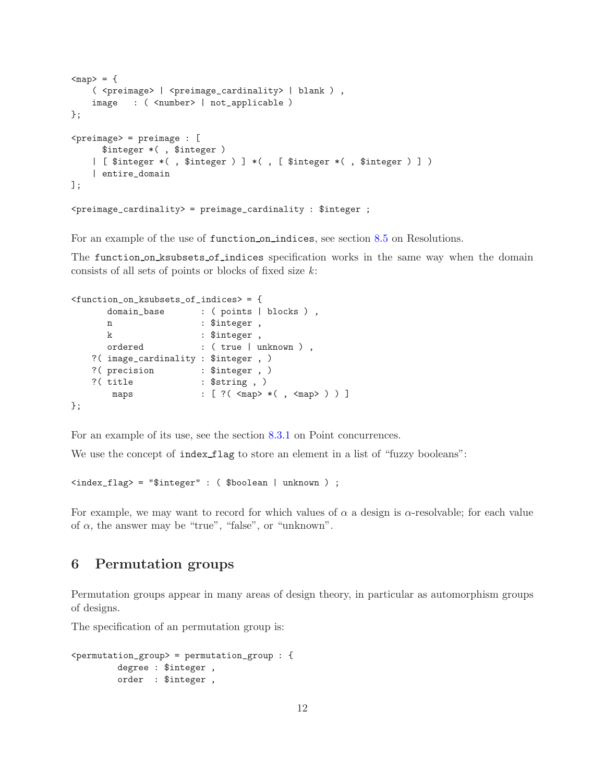```
<sub>map</sub> = {</sub>
    ( <preimage> | <preimage_cardinality> | blank ) ,
    image : ( <number> | not_applicable )
};
\langlepreimage> = preimage : [
      $integer *( , $integer )
    | [ $integer *( , $integer ) ] *( , [ $integer *( , $integer ) ] )
    | entire_domain
];
<preimage_cardinality> = preimage_cardinality : $integer ;
```
For an example of the use of function on indices, see section [8.5](#page-25-0) on Resolutions.

The function on ksubsets of indices specification works in the same way when the domain consists of all sets of points or blocks of fixed size  $k$ :

```
<function_on_ksubsets_of_indices> = {
     domain_base : ( points | blocks ),
     n : $integer,
     k : $integer,
     ordered : (true | unknown ),
   ?( image_cardinality : $integer , )
   ?( precision : $integer , )
   ?( title : $string , )
      maps : [ ?( <map> *( , <map> ) ) ]
};
```
For an example of its use, see the section [8.3.1](#page-19-0) on Point concurrences.

We use the concept of index flag to store an element in a list of "fuzzy booleans":

<index\_flag> = "\$integer" : ( \$boolean | unknown ) ;

For example, we may want to record for which values of  $\alpha$  a design is  $\alpha$ -resolvable; for each value of  $\alpha$ , the answer may be "true", "false", or "unknown".

## <span id="page-11-0"></span>6 Permutation groups

Permutation groups appear in many areas of design theory, in particular as automorphism groups of designs.

The specification of an permutation group is:

```
<permutation_group> = permutation_group : {
         degree : $integer ,
        order : $integer ,
```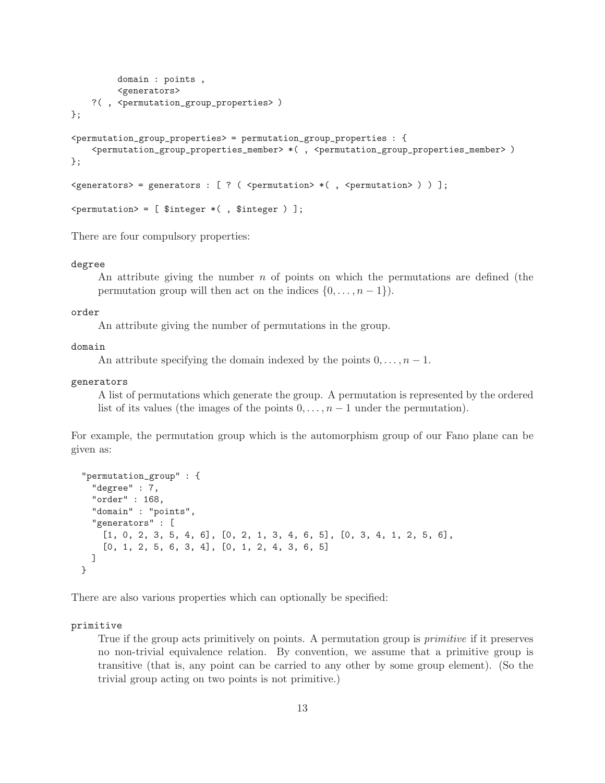```
domain : points ,
            <generators>
     ?( , <permutation_group_properties> )
};
\epsilon <permutation_group_properties> = permutation_group_properties : {
     <permutation_group_properties_member> *( , <permutation_group_properties_member> )
};
\leq \leq \leq \leq \leq \leq \leq \leq \leq \leq \leq \leq \leq \leq \leq \leq \leq \leq \leq \leq \leq \leq \leq \leq \leq \leq \leq \leq \leq \leq \leq \leq \leq \leq \leq \leq \leq\zeta permutation > = [ \sinteger *( , \sinteger ) ];
```
There are four compulsory properties:

#### degree

An attribute giving the number  $n$  of points on which the permutations are defined (the permutation group will then act on the indices  $\{0, \ldots, n-1\}$ .

#### order

An attribute giving the number of permutations in the group.

#### domain

An attribute specifying the domain indexed by the points  $0, \ldots, n-1$ .

## generators

A list of permutations which generate the group. A permutation is represented by the ordered list of its values (the images of the points  $0, \ldots, n-1$  under the permutation).

For example, the permutation group which is the automorphism group of our Fano plane can be given as:

```
"permutation_group" : {
  "degree" : 7,
  "order" : 168,
  "domain" : "points",
  "generators" : [
    [1, 0, 2, 3, 5, 4, 6], [0, 2, 1, 3, 4, 6, 5], [0, 3, 4, 1, 2, 5, 6],[0, 1, 2, 5, 6, 3, 4], [0, 1, 2, 4, 3, 6, 5]]
}
```
There are also various properties which can optionally be specified:

#### primitive

True if the group acts primitively on points. A permutation group is *primitive* if it preserves no non-trivial equivalence relation. By convention, we assume that a primitive group is transitive (that is, any point can be carried to any other by some group element). (So the trivial group acting on two points is not primitive.)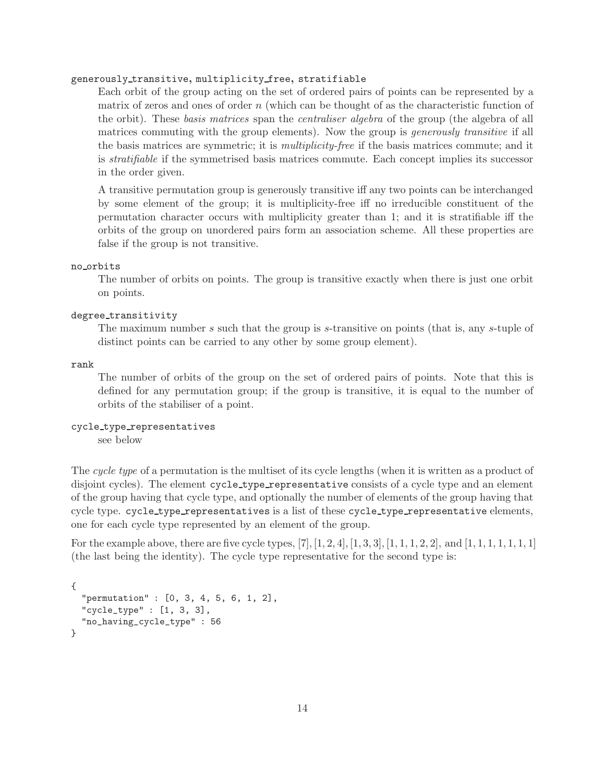### generously transitive, multiplicity free, stratifiable

Each orbit of the group acting on the set of ordered pairs of points can be represented by a matrix of zeros and ones of order  $n$  (which can be thought of as the characteristic function of the orbit). These basis matrices span the centraliser algebra of the group (the algebra of all matrices commuting with the group elements). Now the group is *generously transitive* if all the basis matrices are symmetric; it is multiplicity-free if the basis matrices commute; and it is stratifiable if the symmetrised basis matrices commute. Each concept implies its successor in the order given.

A transitive permutation group is generously transitive iff any two points can be interchanged by some element of the group; it is multiplicity-free iff no irreducible constituent of the permutation character occurs with multiplicity greater than 1; and it is stratifiable iff the orbits of the group on unordered pairs form an association scheme. All these properties are false if the group is not transitive.

#### no orbits

The number of orbits on points. The group is transitive exactly when there is just one orbit on points.

### degree transitivity

The maximum number s such that the group is s-transitive on points (that is, any s-tuple of distinct points can be carried to any other by some group element).

rank

The number of orbits of the group on the set of ordered pairs of points. Note that this is defined for any permutation group; if the group is transitive, it is equal to the number of orbits of the stabiliser of a point.

## cycle type representatives

see below

The cycle type of a permutation is the multiset of its cycle lengths (when it is written as a product of disjoint cycles). The element cycle\_type\_representative consists of a cycle type and an element of the group having that cycle type, and optionally the number of elements of the group having that cycle type. cycle\_type\_representatives is a list of these cycle\_type\_representative elements, one for each cycle type represented by an element of the group.

For the example above, there are five cycle types,  $[7]$ ,  $[1, 2, 4]$ ,  $[1, 3, 3]$ ,  $[1, 1, 1, 2, 2]$ , and  $[1, 1, 1, 1, 1, 1, 1]$ (the last being the identity). The cycle type representative for the second type is:

```
{
  "permutation" : [0, 3, 4, 5, 6, 1, 2],
  "cycle_type" : [1, 3, 3],
  "no_having_cycle_type" : 56
}
```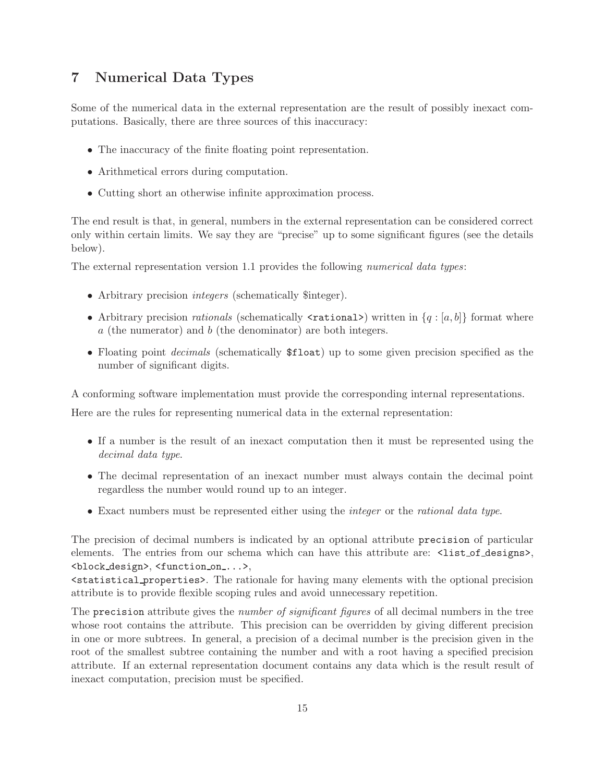## <span id="page-14-0"></span>7 Numerical Data Types

Some of the numerical data in the external representation are the result of possibly inexact computations. Basically, there are three sources of this inaccuracy:

- The inaccuracy of the finite floating point representation.
- Arithmetical errors during computation.
- Cutting short an otherwise infinite approximation process.

The end result is that, in general, numbers in the external representation can be considered correct only within certain limits. We say they are "precise" up to some significant figures (see the details below).

The external representation version 1.1 provides the following numerical data types:

- Arbitrary precision *integers* (schematically \$integer).
- Arbitrary precision *rationals* (schematically  $\langle$ **rational** $\rangle$ ) written in  $\{q : [a, b]\}$  format where  $a$  (the numerator) and  $b$  (the denominator) are both integers.
- Floating point *decimals* (schematically  $$float$ ) up to some given precision specified as the number of significant digits.

A conforming software implementation must provide the corresponding internal representations.

Here are the rules for representing numerical data in the external representation:

- If a number is the result of an inexact computation then it must be represented using the decimal data type.
- The decimal representation of an inexact number must always contain the decimal point regardless the number would round up to an integer.
- Exact numbers must be represented either using the *integer* or the *rational data type*.

The precision of decimal numbers is indicated by an optional attribute precision of particular elements. The entries from our schema which can have this attribute are:  $\text{list_of-designs}\rangle$ , <block design>, <function on ...>,

<statistical properties>. The rationale for having many elements with the optional precision attribute is to provide flexible scoping rules and avoid unnecessary repetition.

The precision attribute gives the *number of significant figures* of all decimal numbers in the tree whose root contains the attribute. This precision can be overridden by giving different precision in one or more subtrees. In general, a precision of a decimal number is the precision given in the root of the smallest subtree containing the number and with a root having a specified precision attribute. If an external representation document contains any data which is the result result of inexact computation, precision must be specified.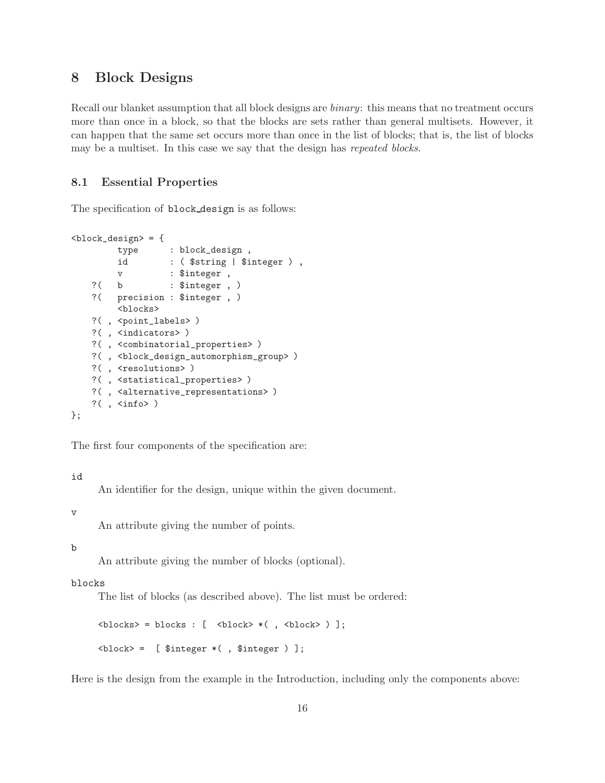## <span id="page-15-0"></span>8 Block Designs

Recall our blanket assumption that all block designs are *binary*: this means that no treatment occurs more than once in a block, so that the blocks are sets rather than general multisets. However, it can happen that the same set occurs more than once in the list of blocks; that is, the list of blocks may be a multiset. In this case we say that the design has repeated blocks.

## <span id="page-15-1"></span>8.1 Essential Properties

The specification of **block** design is as follows:

```
<block_design> = {
        type : block_design ,
        id : ($string | $integer ),
        v : $integer ,
   ?( b : $integer, )
   ?( precision : $integer , )
        <blocks>
   ?( , <point_labels> )
   ?( , <indicators> )
   ?( , <combinatorial_properties> )
   ?( , <block_design_automorphism_group> )
   ?(, <resolutions>)
   ?( , <statistical_properties> )
   ?( , <alternative_representations> )
   ?(\ , <\inf<)\ddot{\ }:
```
The first four components of the specification are:

id

An identifier for the design, unique within the given document.

v

An attribute giving the number of points.

b

An attribute giving the number of blocks (optional).

#### blocks

The list of blocks (as described above). The list must be ordered:

```

\langle block \rangle = [ $integer *(, $integer )];
```
Here is the design from the example in the Introduction, including only the components above: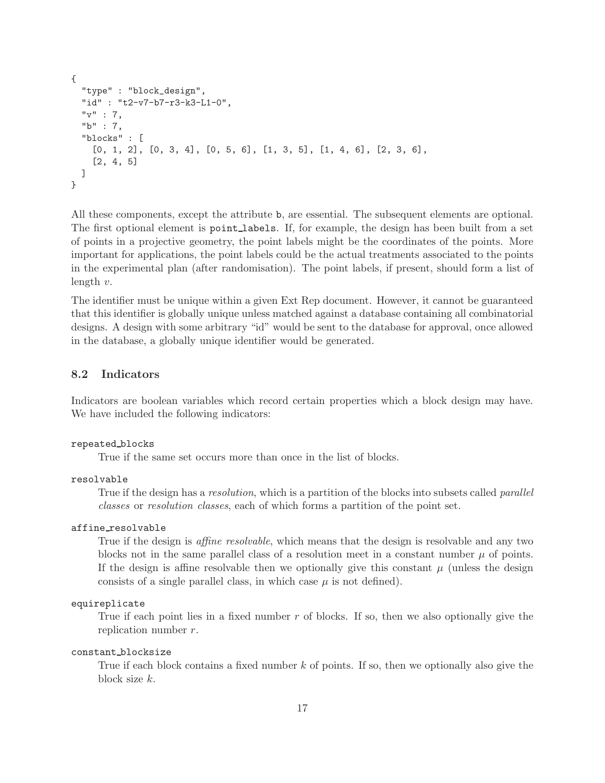```
{
  "type" : "block_design",
  "id" : "t2-v7-b7-r3-k3-L1-0",
  "v" : 7,
  "b" : 7,
  "blocks" : [
    [0, 1, 2], [0, 3, 4], [0, 5, 6], [1, 3, 5], [1, 4, 6], [2, 3, 6],[2, 4, 5]
  ]
}
```
All these components, except the attribute b, are essential. The subsequent elements are optional. The first optional element is point labels. If, for example, the design has been built from a set of points in a projective geometry, the point labels might be the coordinates of the points. More important for applications, the point labels could be the actual treatments associated to the points in the experimental plan (after randomisation). The point labels, if present, should form a list of length v.

The identifier must be unique within a given Ext Rep document. However, it cannot be guaranteed that this identifier is globally unique unless matched against a database containing all combinatorial designs. A design with some arbitrary "id" would be sent to the database for approval, once allowed in the database, a globally unique identifier would be generated.

## <span id="page-16-0"></span>8.2 Indicators

Indicators are boolean variables which record certain properties which a block design may have. We have included the following indicators:

#### repeated blocks

True if the same set occurs more than once in the list of blocks.

#### resolvable

True if the design has a *resolution*, which is a partition of the blocks into subsets called *parallel* classes or resolution classes, each of which forms a partition of the point set.

## affine resolvable

True if the design is *affine resolvable*, which means that the design is resolvable and any two blocks not in the same parallel class of a resolution meet in a constant number  $\mu$  of points. If the design is affine resolvable then we optionally give this constant  $\mu$  (unless the design consists of a single parallel class, in which case  $\mu$  is not defined).

## equireplicate

True if each point lies in a fixed number  $r$  of blocks. If so, then we also optionally give the replication number r.

### constant blocksize

True if each block contains a fixed number k of points. If so, then we optionally also give the block size k.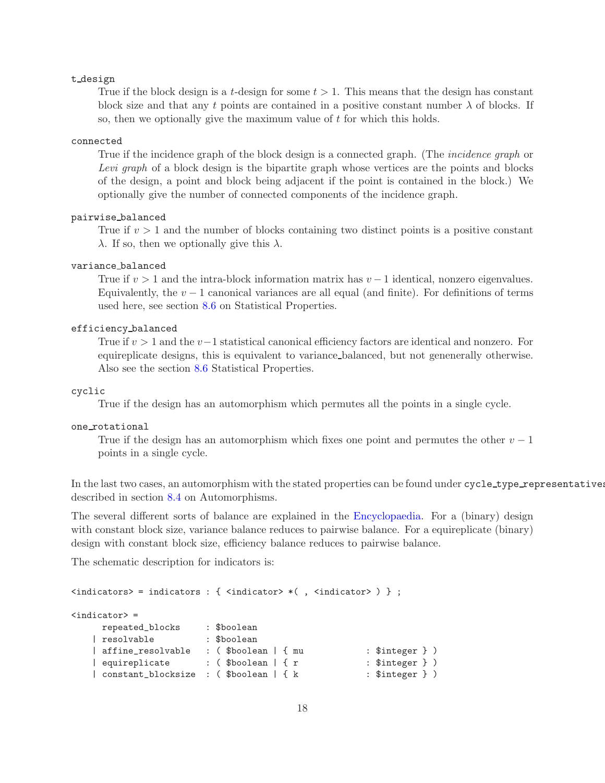#### t design

True if the block design is a t-design for some  $t > 1$ . This means that the design has constant block size and that any t points are contained in a positive constant number  $\lambda$  of blocks. If so, then we optionally give the maximum value of  $t$  for which this holds.

#### connected

True if the incidence graph of the block design is a connected graph. (The *incidence graph* or Levi graph of a block design is the bipartite graph whose vertices are the points and blocks of the design, a point and block being adjacent if the point is contained in the block.) We optionally give the number of connected components of the incidence graph.

### pairwise balanced

True if  $v > 1$  and the number of blocks containing two distinct points is a positive constant  $\lambda$ . If so, then we optionally give this  $\lambda$ .

## variance balanced

True if  $v > 1$  and the intra-block information matrix has  $v - 1$  identical, nonzero eigenvalues. Equivalently, the  $v - 1$  canonical variances are all equal (and finite). For definitions of terms used here, see section [8.6](#page-27-0) on Statistical Properties.

#### efficiency balanced

True if  $v > 1$  and the  $v-1$  statistical canonical efficiency factors are identical and nonzero. For equireplicate designs, this is equivalent to variance balanced, but not genenerally otherwise. Also see the section [8.6](#page-27-0) Statistical Properties.

## cyclic

True if the design has an automorphism which permutes all the points in a single cycle.

## one rotational

True if the design has an automorphism which fixes one point and permutes the other  $v - 1$ points in a single cycle.

In the last two cases, an automorphism with the stated properties can be found under cycle\_type\_representatives described in section [8.4](#page-24-0) on Automorphisms.

The several different sorts of balance are explained in the [Encyclopaedia.](http://designtheory.org/library/encyc) For a (binary) design with constant block size, variance balance reduces to pairwise balance. For a equireplicate (binary) design with constant block size, efficiency balance reduces to pairwise balance.

The schematic description for indicators is:

```
\langleindicators> = indicators : { \langleindicator> *(, \langleindicator> ) } ;
<indicator> =
    repeated_blocks : $boolean
   | resolvable : $boolean
   | affine_resolvable : ($boolean | { mu : $integer } )
   | equireplicate : ($boolean | { r * * * $integer } )
   | constant_blocksize : ($boolean | { k : $integer } )
```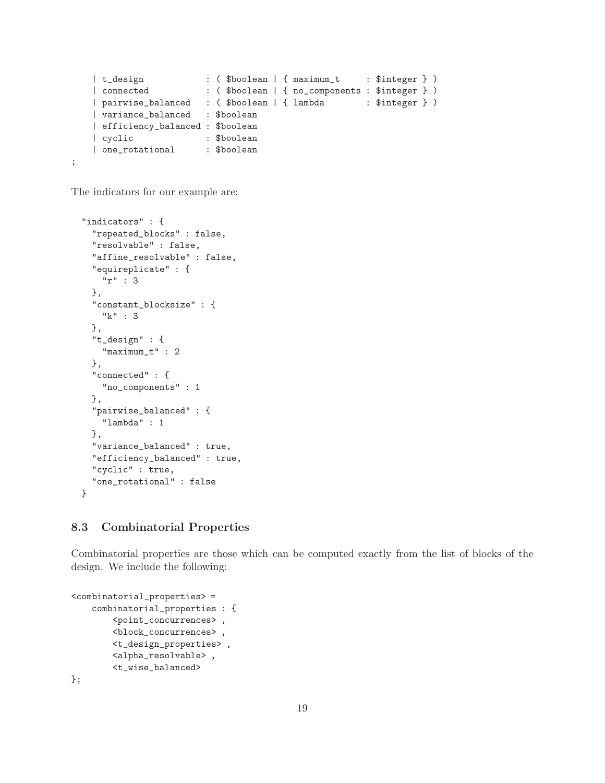```
| t_design : ( $boolean | { maximum_t : $integer } )
   | connected : ( $boolean | { no_components : $integer } )
   | pairwise_balanced : ($boolean | { lambda : $integer } )
   | variance_balanced : $boolean
   | efficiency_balanced : $boolean
   | cyclic : $boolean
   | one_rotational : $boolean
;
```
The indicators for our example are:

```
"indicators" : {
  "repeated_blocks" : false,
  "resolvable" : false,
  "affine_resolvable" : false,
  "equireplicate" : {
   "r" : 3
 },
 "constant_blocksize" : {
   "k" : 3
 },
  "t_design" : {
    "maximum_t" : 2
 },
  "connected" : {
   "no_components" : 1
 },
  "pairwise_balanced" : {
    "lambda" : 1
 },
 "variance_balanced" : true,
  "efficiency_balanced" : true,
  "cyclic" : true,
  "one_rotational" : false
}
```
## <span id="page-18-0"></span>8.3 Combinatorial Properties

Combinatorial properties are those which can be computed exactly from the list of blocks of the design. We include the following:

```
<combinatorial_properties> =
    combinatorial_properties : {
        <point_concurrences> ,
        <block_concurrences> ,
        <t_design_properties> ,
        <alpha_resolvable> ,
        <t_wise_balanced>
};
```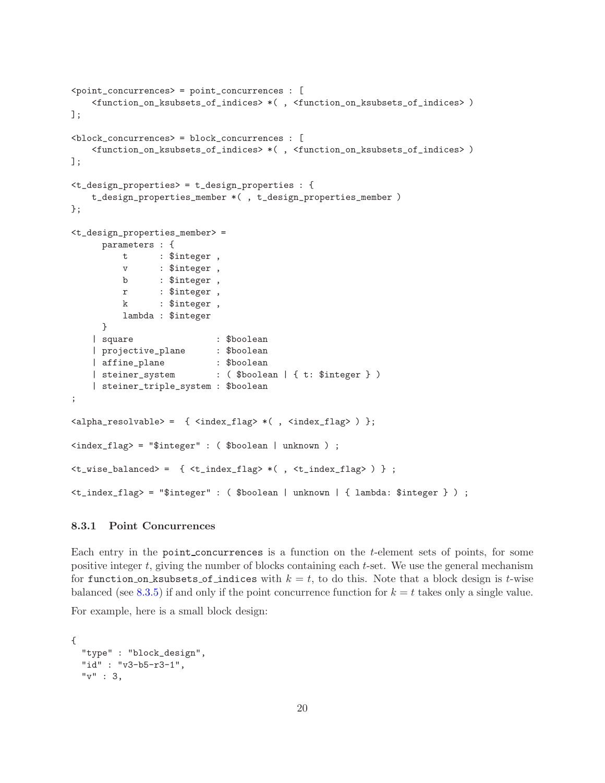```
<point_concurrences> = point_concurrences : [
    <function_on_ksubsets_of_indices> *( , <function_on_ksubsets_of_indices> )
];
<block_concurrences> = block_concurrences : [
    <function_on_ksubsets_of_indices> *( , <function_on_ksubsets_of_indices> )
];
<t_design_properties> = t_design_properties : {
   t_design_properties_member *( , t_design_properties_member )
};
<t_design_properties_member> =
      parameters : {
         t : $integer,
          v : $integer ,
         b : $integer ,
          r : $integer ,
         k : $integer ,
          lambda : $integer
     }
    | square : $boolean
    | projective_plane : $boolean
    | affine_plane : $boolean
    | steiner_system : ($boolean | { t: $integer } )
    | steiner_triple_system : $boolean
;
\langlealpha_resolvable> = { \langleindex_flag> *(, \langleindex_flag> ) };
<index_flag> = "$integer" : ( $boolean | unknown ) ;
\langle t\_wise\_balanced \rangle = { \langle t\_index\_flag \rangle * (, \langle t\_index\_flag \rangle ) } ;
<t_index_flag> = "$integer" : ( $boolean | unknown | { lambda: $integer } ) ;
```
## <span id="page-19-0"></span>8.3.1 Point Concurrences

Each entry in the point concurrences is a function on the *t*-element sets of points, for some positive integer  $t$ , giving the number of blocks containing each  $t$ -set. We use the general mechanism for function on ksubsets of indices with  $k = t$ , to do this. Note that a block design is t-wise balanced (see [8.3.5\)](#page-23-1) if and only if the point concurrence function for  $k = t$  takes only a single value.

For example, here is a small block design:

```
{
 "type" : "block_design",
 "id" : "v3-b5-r3-1",
 "v" :: 3.
```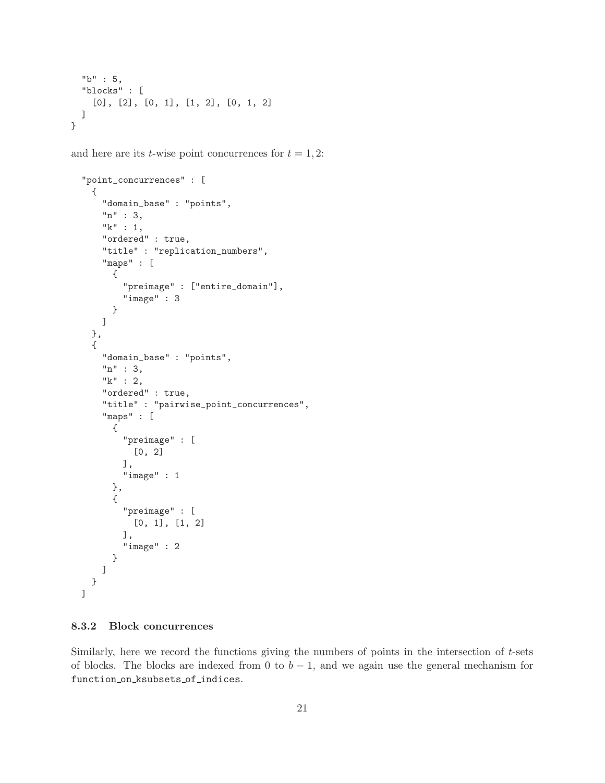```
"b" : 5,
  "blocks" : [
    [0], [2], [0, 1], [1, 2], [0, 1, 2]
  ]
}
```
and here are its *t*-wise point concurrences for  $t = 1, 2$ :

```
"point_concurrences" : [
  {
    "domain_base" : "points",
    "n" : 3,
    "k" : 1,
    "ordered" : true,
    "title" : "replication_numbers",
    "maps" : [
      {
        "preimage" : ["entire_domain"],
        "image" : 3
      }
    ]
  },
  {
    "domain_base" : "points",
    "n" : 3,
    "k" : 2,
    "ordered" : true,
    "title" : "pairwise_point_concurrences",
    "maps" : [
      {
        "preimage" : [
          [0, 2]
        ],
        "image" : 1
      },
      {
        "preimage" : [
          [0, 1], [1, 2]
        ],
        "image" : 2
      }
    ]
  }
]
```
### <span id="page-20-0"></span>8.3.2 Block concurrences

Similarly, here we record the functions giving the numbers of points in the intersection of  $t$ -sets of blocks. The blocks are indexed from 0 to  $b - 1$ , and we again use the general mechanism for function on ksubsets of indices.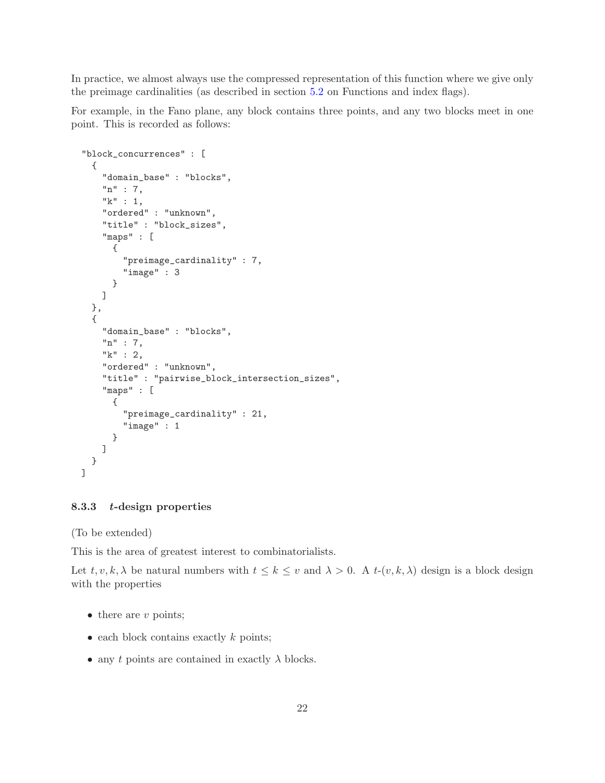In practice, we almost always use the compressed representation of this function where we give only the preimage cardinalities (as described in section [5.2](#page-10-0) on Functions and index flags).

For example, in the Fano plane, any block contains three points, and any two blocks meet in one point. This is recorded as follows:

```
"block_concurrences" : [
  {
    "domain_base" : "blocks",
    "n" : 7,
    "k" : 1,
    "ordered" : "unknown",
    "title" : "block_sizes",
    "maps" : [
      {
        "preimage_cardinality" : 7,
        "image" : 3
      }
    ]
  },
  {
    "domain_base" : "blocks",
    "n" : 7,
    "k" : 2,
    "ordered" : "unknown",
    "title" : "pairwise_block_intersection_sizes",
    "maps" : [
      {
        "preimage_cardinality" : 21,
        "image" : 1
      }
    ]
  }
]
```
## <span id="page-21-0"></span>8.3.3 t-design properties

(To be extended)

This is the area of greatest interest to combinatorialists.

Let  $t, v, k, \lambda$  be natural numbers with  $t \leq k \leq v$  and  $\lambda > 0$ . A  $t-(v, k, \lambda)$  design is a block design with the properties

- $\bullet$  there are v points;
- $\bullet$  each block contains exactly  $k$  points;
- any t points are contained in exactly  $\lambda$  blocks.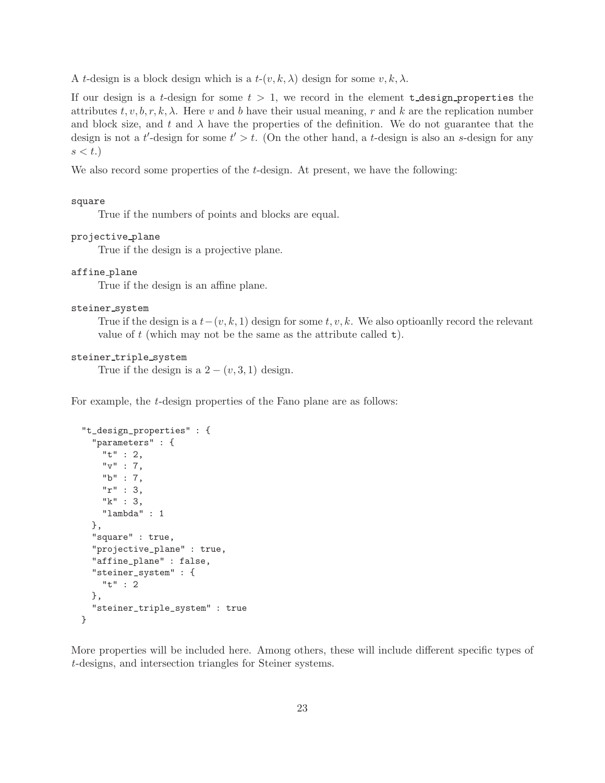A t-design is a block design which is a  $t-(v, k, \lambda)$  design for some  $v, k, \lambda$ .

If our design is a t-design for some  $t > 1$ , we record in the element  $t$ -design-properties the attributes  $t, v, b, r, k, \lambda$ . Here v and b have their usual meaning, r and k are the replication number and block size, and t and  $\lambda$  have the properties of the definition. We do not guarantee that the design is not a t'-design for some  $t' > t$ . (On the other hand, a t-design is also an s-design for any  $s < t.$ 

We also record some properties of the *t*-design. At present, we have the following:

#### square

True if the numbers of points and blocks are equal.

#### projective plane

True if the design is a projective plane.

#### affine plane

True if the design is an affine plane.

#### steiner\_system

True if the design is a  $t-(v, k, 1)$  design for some  $t, v, k$ . We also optioanlly record the relevant value of  $t$  (which may not be the same as the attribute called  $t$ ).

#### steiner triple system

True if the design is a  $2 - (v, 3, 1)$  design.

For example, the t-design properties of the Fano plane are as follows:

```
"t_design_properties" : {
  "parameters" : {
    "t" : 2,
    "v" : 7,
    "b" : 7,
    "r" : 3,
    "k" : 3,
    "lambda" : 1
 },
  "square" : true,
  "projective_plane" : true,
  "affine_plane" : false,
  "steiner_system" : {
    "t" : 2
 },
  "steiner_triple_system" : true
}
```
More properties will be included here. Among others, these will include different specific types of t-designs, and intersection triangles for Steiner systems.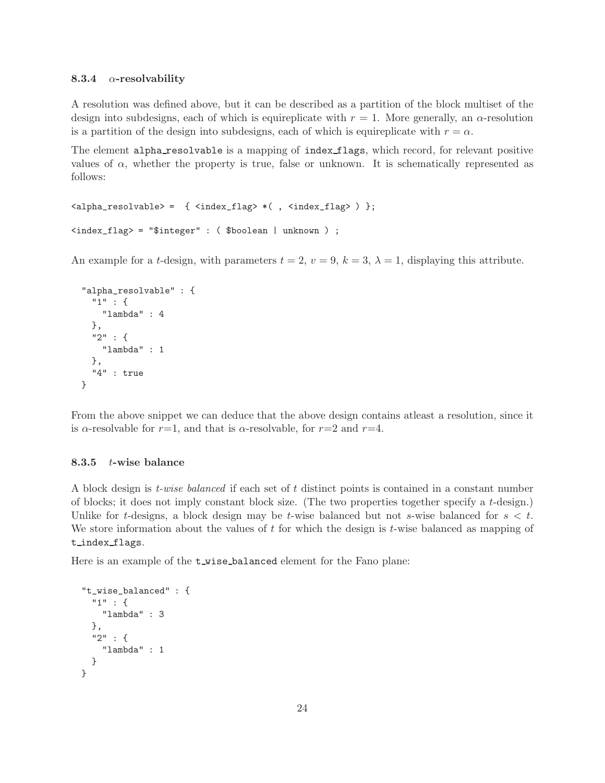#### <span id="page-23-0"></span>8.3.4  $\alpha$ -resolvability

A resolution was defined above, but it can be described as a partition of the block multiset of the design into subdesigns, each of which is equireplicate with  $r = 1$ . More generally, an  $\alpha$ -resolution is a partition of the design into subdesigns, each of which is equireplicate with  $r = \alpha$ .

The element alpha resolvable is a mapping of index flags, which record, for relevant positive values of  $\alpha$ , whether the property is true, false or unknown. It is schematically represented as follows:

```
<alpha_resolvable> = { <index_flag> *( , <index_flag> ) };
<index_flag> = "$integer" : ( $boolean | unknown ) ;
```
An example for a t-design, with parameters  $t = 2$ ,  $v = 9$ ,  $k = 3$ ,  $\lambda = 1$ , displaying this attribute.

```
"alpha_resolvable" : {
  "1" : {
    "lambda" : 4
 },
  "2" : {
    "lambda" : 1
 },
  "4" : true
}
```
From the above snippet we can deduce that the above design contains atleast a resolution, since it is  $\alpha$ -resolvable for  $r=1$ , and that is  $\alpha$ -resolvable, for  $r=2$  and  $r=4$ .

## <span id="page-23-1"></span>8.3.5 t-wise balance

A block design is t-wise balanced if each set of t distinct points is contained in a constant number of blocks; it does not imply constant block size. (The two properties together specify a t-design.) Unlike for t-designs, a block design may be t-wise balanced but not s-wise balanced for  $s < t$ . We store information about the values of  $t$  for which the design is  $t$ -wise balanced as mapping of t index flags.

Here is an example of the  $t$ -wise-balanced element for the Fano plane:

```
"t_wise_balanced" : {
 "1" : {
   "lambda" : 3
 },
  "2" : {
    "lambda" : 1
 }
}
```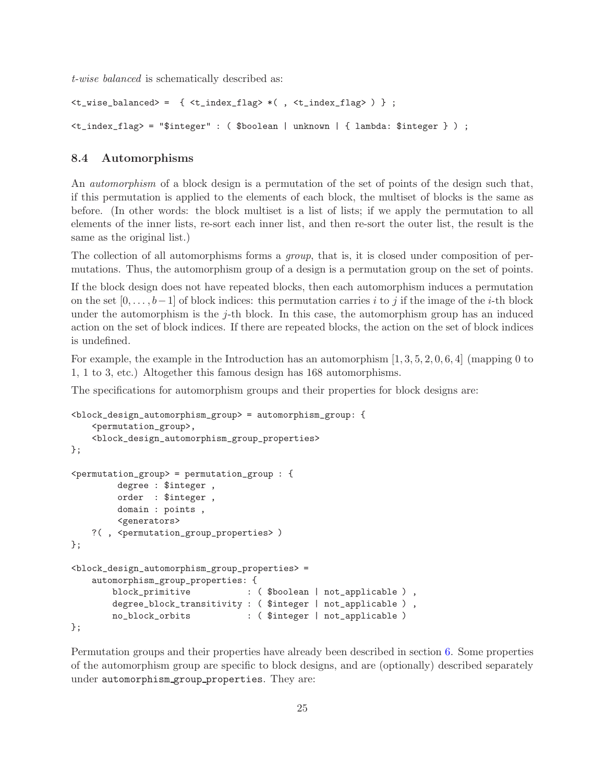t-wise balanced is schematically described as:

```
\langle t\_wise\_balanced \rangle = { \langle t\_index\_flag \rangle * ( , \langle t\_index\_flag \rangle ) } ;
<t_index_flag> = "$integer" : ( $boolean | unknown | { lambda: $integer } ) ;
```
## <span id="page-24-0"></span>8.4 Automorphisms

An *automorphism* of a block design is a permutation of the set of points of the design such that, if this permutation is applied to the elements of each block, the multiset of blocks is the same as before. (In other words: the block multiset is a list of lists; if we apply the permutation to all elements of the inner lists, re-sort each inner list, and then re-sort the outer list, the result is the same as the original list.)

The collection of all automorphisms forms a *group*, that is, it is closed under composition of permutations. Thus, the automorphism group of a design is a permutation group on the set of points.

If the block design does not have repeated blocks, then each automorphism induces a permutation on the set  $[0, \ldots, b-1]$  of block indices: this permutation carries i to j if the image of the i-th block under the automorphism is the j-th block. In this case, the automorphism group has an induced action on the set of block indices. If there are repeated blocks, the action on the set of block indices is undefined.

For example, the example in the Introduction has an automorphism  $[1, 3, 5, 2, 0, 6, 4]$  (mapping 0 to 1, 1 to 3, etc.) Altogether this famous design has 168 automorphisms.

The specifications for automorphism groups and their properties for block designs are:

```
<block_design_automorphism_group> = automorphism_group: {
    <permutation_group>,
    <block_design_automorphism_group_properties>
};
<permutation_group> = permutation_group : {
        degree : $integer ,
        order : $integer ,
        domain : points ,
        <generators>
   ?( , <permutation_group_properties> )
};
<block_design_automorphism_group_properties> =
   automorphism_group_properties: {
       block_primitive : ($boolean | not_applicable ),
       degree_block_transitivity : ( $integer | not_applicable ) ,
       no_block_orbits : ( $integer | not_applicable )
};
```
Permutation groups and their properties have already been described in section [6.](#page-11-0) Some properties of the automorphism group are specific to block designs, and are (optionally) described separately under automorphism group properties. They are: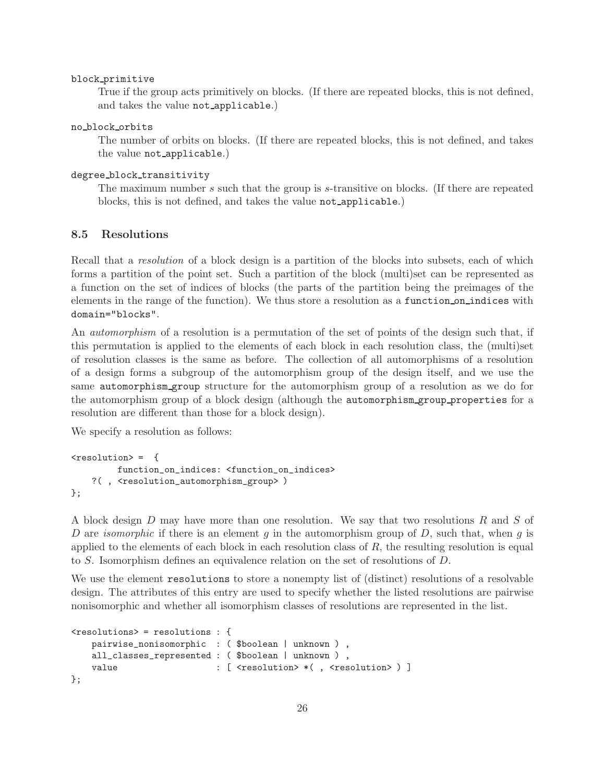#### block primitive

True if the group acts primitively on blocks. (If there are repeated blocks, this is not defined, and takes the value not applicable.)

#### no block orbits

The number of orbits on blocks. (If there are repeated blocks, this is not defined, and takes the value not applicable.)

### degree block transitivity

The maximum number s such that the group is s-transitive on blocks. (If there are repeated blocks, this is not defined, and takes the value not applicable.)

## <span id="page-25-0"></span>8.5 Resolutions

Recall that a *resolution* of a block design is a partition of the blocks into subsets, each of which forms a partition of the point set. Such a partition of the block (multi)set can be represented as a function on the set of indices of blocks (the parts of the partition being the preimages of the elements in the range of the function). We thus store a resolution as a function on indices with domain="blocks".

An *automorphism* of a resolution is a permutation of the set of points of the design such that, if this permutation is applied to the elements of each block in each resolution class, the (multi)set of resolution classes is the same as before. The collection of all automorphisms of a resolution of a design forms a subgroup of the automorphism group of the design itself, and we use the same automorphism group structure for the automorphism group of a resolution as we do for the automorphism group of a block design (although the automorphism group properties for a resolution are different than those for a block design).

We specify a resolution as follows:

```
<resolution> = {
         function_on_indices: <function_on_indices>
    ?( , <resolution_automorphism_group> )
};
```
A block design D may have more than one resolution. We say that two resolutions R and S of D are *isomorphic* if there is an element q in the automorphism group of D, such that, when q is applied to the elements of each block in each resolution class of  $R$ , the resulting resolution is equal to S. Isomorphism defines an equivalence relation on the set of resolutions of D.

We use the element resolutions to store a nonempty list of (distinct) resolutions of a resolvable design. The attributes of this entry are used to specify whether the listed resolutions are pairwise nonisomorphic and whether all isomorphism classes of resolutions are represented in the list.

```
<resolutions> = resolutions : {
   pairwise_nonisomorphic : ( $boolean | unknown ) ,
   all_classes_represented : ( $boolean | unknown ) ,
   value : [ <resolution> *( , <resolution> ) ]
};
```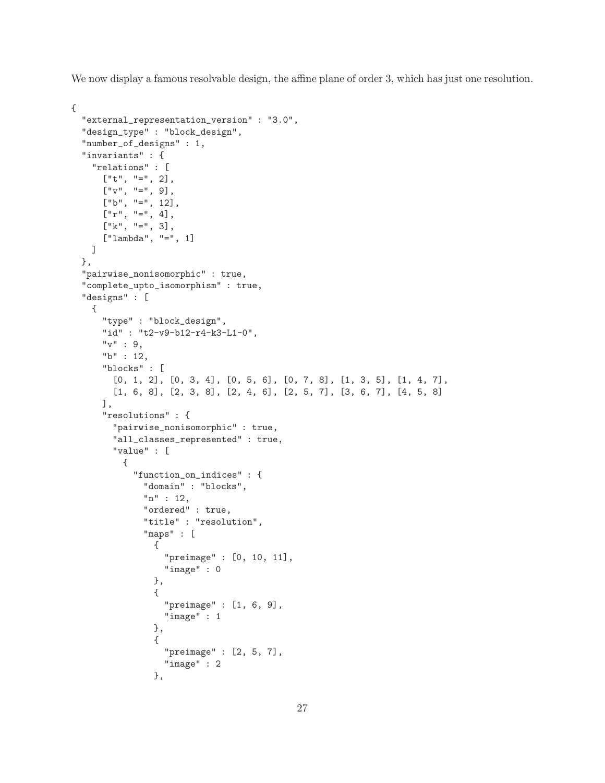We now display a famous resolvable design, the affine plane of order 3, which has just one resolution.

```
{
  "external_representation_version" : "3.0",
  "design_type" : "block_design",
  "number_of_designs" : 1,
  "invariants" : {
    "relations" : [
      ['t", "='', 2],\left[\begin{smallmatrix} 0 & \sqrt{0} & \cdots & 0 \\ 0 & \sqrt{0} & \cdots & 0 \end{smallmatrix}\right],
      ['b", "=', 12],["r", "=", 4],[V'k", "=", 3],["lambda", "=", 1]
    ]
  },
  "pairwise_nonisomorphic" : true,
  "complete_upto_isomorphism" : true,
  "designs" : [
    {
      "type" : "block_design",
      "id" : "t2-v9-b12-r4-k3-L1-0",
      "v" :: 9,"b" : 12,
      "blocks" : [
         [0, 1, 2], [0, 3, 4], [0, 5, 6], [0, 7, 8], [1, 3, 5], [1, 4, 7],
         [1, 6, 8], [2, 3, 8], [2, 4, 6], [2, 5, 7], [3, 6, 7], [4, 5, 8]
      ],
      "resolutions" : {
         "pairwise_nonisomorphic" : true,
         "all_classes_represented" : true,
         "value" : [
           {
             "function_on_indices" : {
                "domain" : "blocks",
                "n" : 12,
                "ordered" : true,
                "title" : "resolution",
                "maps" : [
                  {
                    "preimage" : [0, 10, 11],
                    "image" : 0
                  },
                  {
                    "preimage" : [1, 6, 9],
                    "image" : 1
                  },
                  {
                    "preimage" : [2, 5, 7],
                    "image" : 2
                  },
```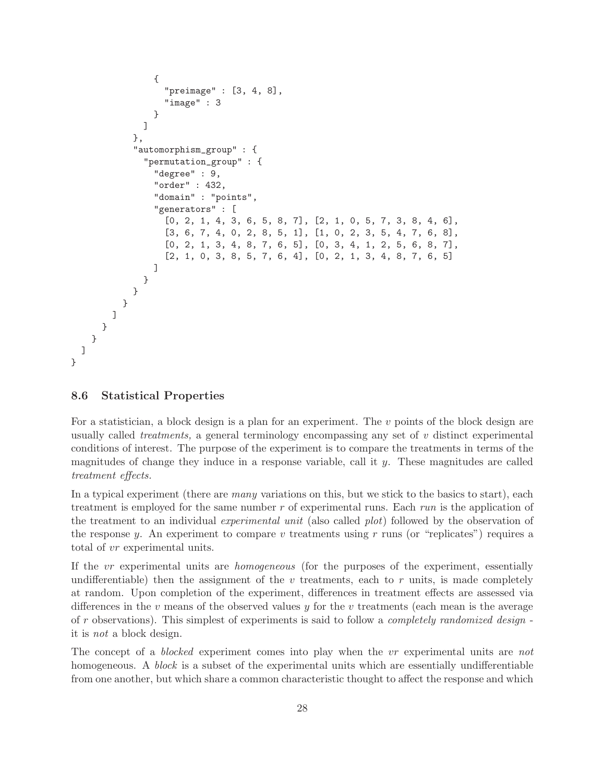```
{
                   "preimage" : [3, 4, 8],
                   "image" : 3
                }
              ]
            },
            "automorphism_group" : {
              "permutation_group" : {
                "degree" : 9,
                "order" : 432,
                "domain" : "points",
                "generators" : [
                   [0, 2, 1, 4, 3, 6, 5, 8, 7], [2, 1, 0, 5, 7, 3, 8, 4, 6],
                   [3, 6, 7, 4, 0, 2, 8, 5, 1], [1, 0, 2, 3, 5, 4, 7, 6, 8],
                   [0, 2, 1, 3, 4, 8, 7, 6, 5], [0, 3, 4, 1, 2, 5, 6, 8, 7],
                   [2, 1, 0, 3, 8, 5, 7, 6, 4], [0, 2, 1, 3, 4, 8, 7, 6, 5]
                ]
              }
            }
          }
       ]
      }
    }
 ]
}
```
## <span id="page-27-0"></span>8.6 Statistical Properties

For a statistician, a block design is a plan for an experiment. The v points of the block design are usually called *treatments*, a general terminology encompassing any set of  $v$  distinct experimental conditions of interest. The purpose of the experiment is to compare the treatments in terms of the magnitudes of change they induce in a response variable, call it  $y$ . These magnitudes are called treatment effects.

In a typical experiment (there are *many* variations on this, but we stick to the basics to start), each treatment is employed for the same number r of experimental runs. Each run is the application of the treatment to an individual experimental unit (also called plot) followed by the observation of the response y. An experiment to compare v treatments using r runs (or "replicates") requires a total of vr experimental units.

If the vr experimental units are homogeneous (for the purposes of the experiment, essentially undifferentiable) then the assignment of the v treatments, each to r units, is made completely at random. Upon completion of the experiment, differences in treatment effects are assessed via differences in the v means of the observed values y for the v treatments (each mean is the average of r observations). This simplest of experiments is said to follow a completely randomized design it is not a block design.

The concept of a *blocked* experiment comes into play when the vr experimental units are not homogeneous. A *block* is a subset of the experimental units which are essentially undifferentiable from one another, but which share a common characteristic thought to affect the response and which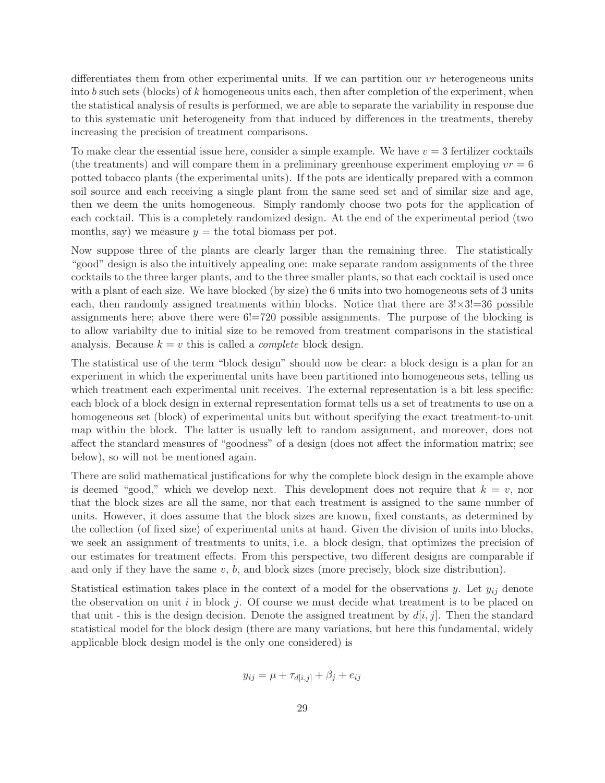differentiates them from other experimental units. If we can partition our  $vr$  heterogeneous units into b such sets (blocks) of k homogeneous units each, then after completion of the experiment, when the statistical analysis of results is performed, we are able to separate the variability in response due to this systematic unit heterogeneity from that induced by differences in the treatments, thereby increasing the precision of treatment comparisons.

To make clear the essential issue here, consider a simple example. We have  $v = 3$  fertilizer cocktails (the treatments) and will compare them in a preliminary greenhouse experiment employing  $vr = 6$ potted tobacco plants (the experimental units). If the pots are identically prepared with a common soil source and each receiving a single plant from the same seed set and of similar size and age, then we deem the units homogeneous. Simply randomly choose two pots for the application of each cocktail. This is a completely randomized design. At the end of the experimental period (two months, say) we measure  $y =$  the total biomass per pot.

Now suppose three of the plants are clearly larger than the remaining three. The statistically "good" design is also the intuitively appealing one: make separate random assignments of the three cocktails to the three larger plants, and to the three smaller plants, so that each cocktail is used once with a plant of each size. We have blocked (by size) the 6 units into two homogeneous sets of 3 units each, then randomly assigned treatments within blocks. Notice that there are  $3! \times 3! = 36$  possible assignments here; above there were 6!=720 possible assignments. The purpose of the blocking is to allow variabilty due to initial size to be removed from treatment comparisons in the statistical analysis. Because  $k = v$  this is called a *complete* block design.

The statistical use of the term "block design" should now be clear: a block design is a plan for an experiment in which the experimental units have been partitioned into homogeneous sets, telling us which treatment each experimental unit receives. The external representation is a bit less specific: each block of a block design in external representation format tells us a set of treatments to use on a homogeneous set (block) of experimental units but without specifying the exact treatment-to-unit map within the block. The latter is usually left to random assignment, and moreover, does not affect the standard measures of "goodness" of a design (does not affect the information matrix; see below), so will not be mentioned again.

There are solid mathematical justifications for why the complete block design in the example above is deemed "good," which we develop next. This development does not require that  $k = v$ , nor that the block sizes are all the same, nor that each treatment is assigned to the same number of units. However, it does assume that the block sizes are known, fixed constants, as determined by the collection (of fixed size) of experimental units at hand. Given the division of units into blocks, we seek an assignment of treatments to units, i.e. a block design, that optimizes the precision of our estimates for treatment effects. From this perspective, two different designs are comparable if and only if they have the same  $v, b$ , and block sizes (more precisely, block size distribution).

Statistical estimation takes place in the context of a model for the observations y. Let  $y_{ij}$  denote the observation on unit i in block j. Of course we must decide what treatment is to be placed on that unit - this is the design decision. Denote the assigned treatment by  $d[i, j]$ . Then the standard statistical model for the block design (there are many variations, but here this fundamental, widely applicable block design model is the only one considered) is

$$
y_{ij} = \mu + \tau_{d[i,j]} + \beta_j + e_{ij}
$$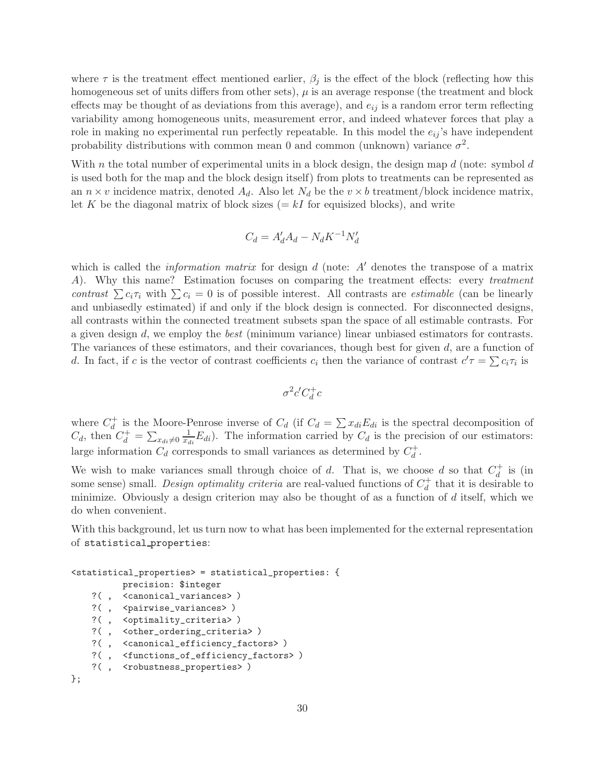where  $\tau$  is the treatment effect mentioned earlier,  $\beta_i$  is the effect of the block (reflecting how this homogeneous set of units differs from other sets),  $\mu$  is an average response (the treatment and block effects may be thought of as deviations from this average), and  $e_{ij}$  is a random error term reflecting variability among homogeneous units, measurement error, and indeed whatever forces that play a role in making no experimental run perfectly repeatable. In this model the  $e_{ij}$ 's have independent probability distributions with common mean 0 and common (unknown) variance  $\sigma^2$ .

With n the total number of experimental units in a block design, the design map  $d$  (note: symbol  $d$ is used both for the map and the block design itself) from plots to treatments can be represented as an  $n \times v$  incidence matrix, denoted  $A_d$ . Also let  $N_d$  be the  $v \times b$  treatment/block incidence matrix, let K be the diagonal matrix of block sizes  $(= kI)$  for equisized blocks), and write

$$
C_d = A'_d A_d - N_d K^{-1} N'_d
$$

which is called the *information matrix* for design d (note:  $A'$  denotes the transpose of a matrix A). Why this name? Estimation focuses on comparing the treatment effects: every treatment contrast  $\sum c_i \tau_i$  with  $\sum c_i = 0$  is of possible interest. All contrasts are *estimable* (can be linearly and unbiasedly estimated) if and only if the block design is connected. For disconnected designs, all contrasts within the connected treatment subsets span the space of all estimable contrasts. For a given design  $d$ , we employ the *best* (minimum variance) linear unbiased estimators for contrasts. The variances of these estimators, and their covariances, though best for given d, are a function of d. In fact, if c is the vector of contrast coefficients  $c_i$  then the variance of contrast  $c' = \sum c_i \tau_i$  is

$$
\sigma^2 c' C_d^+ c
$$

where  $C_d^+$  is the Moore-Penrose inverse of  $C_d$  (if  $C_d = \sum x_{di} E_{di}$  is the spectral decomposition of  $C_d$ , then  $C_d^+ = \sum_{x_{di}\neq 0} \frac{1}{x_{di}} E_{di}$ . The information carried by  $C_d$  is the precision of our estimators: large information  $C_d$  corresponds to small variances as determined by  $C_d^+$ .

We wish to make variances small through choice of d. That is, we choose d so that  $C_d^+$  is (in some sense) small. Design optimality criteria are real-valued functions of  $C_d^+$  that it is desirable to minimize. Obviously a design criterion may also be thought of as a function of  $d$  itself, which we do when convenient.

With this background, let us turn now to what has been implemented for the external representation of statistical properties:

```
<statistical_properties> = statistical_properties: {
         precision: $integer
   ?( , <canonical_variances> )
   ?( , <pairwise_variances> )
   ?( , <optimality_criteria> )
   ?( , <other_ordering_criteria> )
   ?( , <canonical_efficiency_factors> )
   ?( , <functions_of_efficiency_factors> )
   ?(, <robustness_properties>)
};
```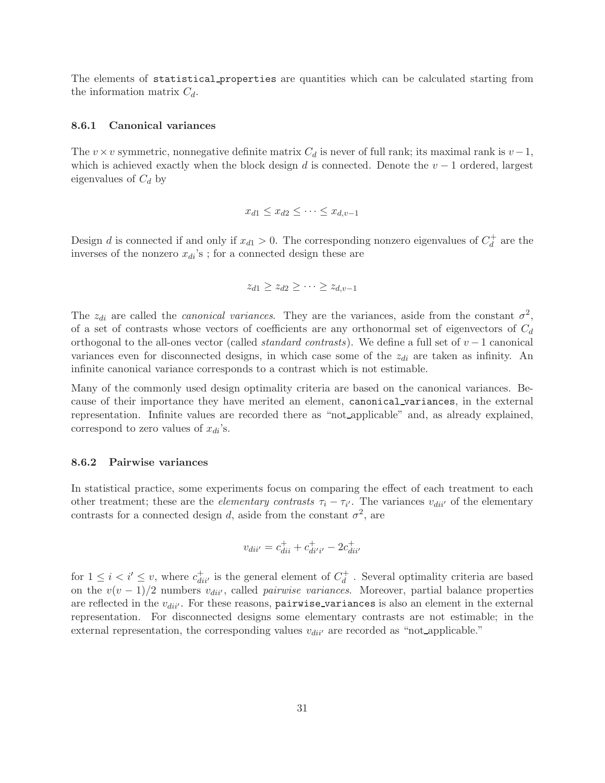The elements of statistical properties are quantities which can be calculated starting from the information matrix  $C_d$ .

#### <span id="page-30-0"></span>8.6.1 Canonical variances

The v×v symmetric, nonnegative definite matrix  $C_d$  is never of full rank; its maximal rank is  $v-1$ , which is achieved exactly when the block design d is connected. Denote the  $v - 1$  ordered, largest eigenvalues of  $C_d$  by

$$
x_{d1} \leq x_{d2} \leq \cdots \leq x_{d,v-1}
$$

Design d is connected if and only if  $x_{d1} > 0$ . The corresponding nonzero eigenvalues of  $C_d^+$  are the inverses of the nonzero  $x_{di}$ 's; for a connected design these are

$$
z_{d1} \geq z_{d2} \geq \cdots \geq z_{d,v-1}
$$

The  $z_{di}$  are called the *canonical variances*. They are the variances, aside from the constant  $\sigma^2$ , of a set of contrasts whose vectors of coefficients are any orthonormal set of eigenvectors of  $C_d$ orthogonal to the all-ones vector (called *standard contrasts*). We define a full set of  $v - 1$  canonical variances even for disconnected designs, in which case some of the  $z_{di}$  are taken as infinity. An infinite canonical variance corresponds to a contrast which is not estimable.

Many of the commonly used design optimality criteria are based on the canonical variances. Because of their importance they have merited an element, canonical variances, in the external representation. Infinite values are recorded there as "not applicable" and, as already explained, correspond to zero values of  $x_{di}$ 's.

#### <span id="page-30-1"></span>8.6.2 Pairwise variances

In statistical practice, some experiments focus on comparing the effect of each treatment to each other treatment; these are the *elementary contrasts*  $\tau_i - \tau_{i'}$ . The variances  $v_{di i'}$  of the elementary contrasts for a connected design d, aside from the constant  $\sigma^2$ , are

$$
v_{dii'} = c_{dii}^+ + c_{dii'i'}^+ - 2c_{dii'}^+
$$

for  $1 \leq i \leq i' \leq v$ , where  $c_{di i'}^+$  is the general element of  $C_d^+$ . Several optimality criteria are based on the  $v(v-1)/2$  numbers  $v_{di'j'}$ , called *pairwise variances*. Moreover, partial balance properties are reflected in the  $v_{di'}.$  For these reasons, pairwise variances is also an element in the external representation. For disconnected designs some elementary contrasts are not estimable; in the external representation, the corresponding values  $v_{di i'}$  are recorded as "not applicable."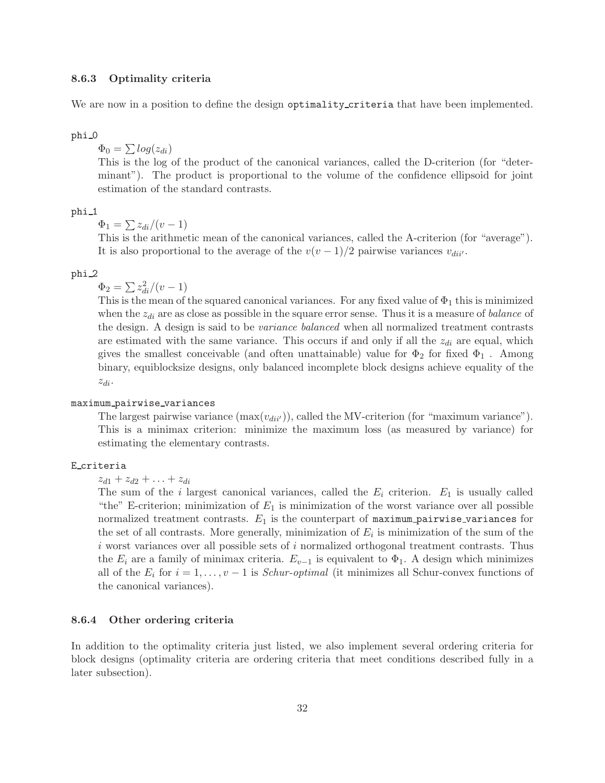#### <span id="page-31-0"></span>8.6.3 Optimality criteria

We are now in a position to define the design optimality\_criteria that have been implemented.

phi 0

 $\Phi_0 = \sum log(z_{di})$ 

This is the log of the product of the canonical variances, called the D-criterion (for "determinant"). The product is proportional to the volume of the confidence ellipsoid for joint estimation of the standard contrasts.

#### phi<sub>1</sub>

 $\Phi_1 = \sum z_{di}/(v-1)$ 

This is the arithmetic mean of the canonical variances, called the A-criterion (for "average"). It is also proportional to the average of the  $v(v-1)/2$  pairwise variances  $v_{di'}.$ 

#### phi 2

 $\Phi_2 = \sum z_{di}^2/(v-1)$ 

This is the mean of the squared canonical variances. For any fixed value of  $\Phi_1$  this is minimized when the  $z_{di}$  are as close as possible in the square error sense. Thus it is a measure of *balance* of the design. A design is said to be variance balanced when all normalized treatment contrasts are estimated with the same variance. This occurs if and only if all the  $z_{di}$  are equal, which gives the smallest conceivable (and often unattainable) value for  $\Phi_2$  for fixed  $\Phi_1$ . Among binary, equiblocksize designs, only balanced incomplete block designs achieve equality of the  $z_{di}$ .

## maximum pairwise variances

The largest pairwise variance  $(\max(v_{div})),$  called the MV-criterion (for "maximum variance"). This is a minimax criterion: minimize the maximum loss (as measured by variance) for estimating the elementary contrasts.

#### E criteria

 $z_{d1} + z_{d2} + \ldots + z_{di}$ 

The sum of the i largest canonical variances, called the  $E_i$  criterion.  $E_1$  is usually called "the" E-criterion; minimization of  $E_1$  is minimization of the worst variance over all possible normalized treatment contrasts.  $E_1$  is the counterpart of maximum pairwise variances for the set of all contrasts. More generally, minimization of  $E_i$  is minimization of the sum of the i worst variances over all possible sets of i normalized orthogonal treatment contrasts. Thus the  $E_i$  are a family of minimax criteria.  $E_{v-1}$  is equivalent to  $\Phi_1$ . A design which minimizes all of the  $E_i$  for  $i = 1, \ldots, v - 1$  is *Schur-optimal* (it minimizes all Schur-convex functions of the canonical variances).

#### <span id="page-31-1"></span>8.6.4 Other ordering criteria

In addition to the optimality criteria just listed, we also implement several ordering criteria for block designs (optimality criteria are ordering criteria that meet conditions described fully in a later subsection).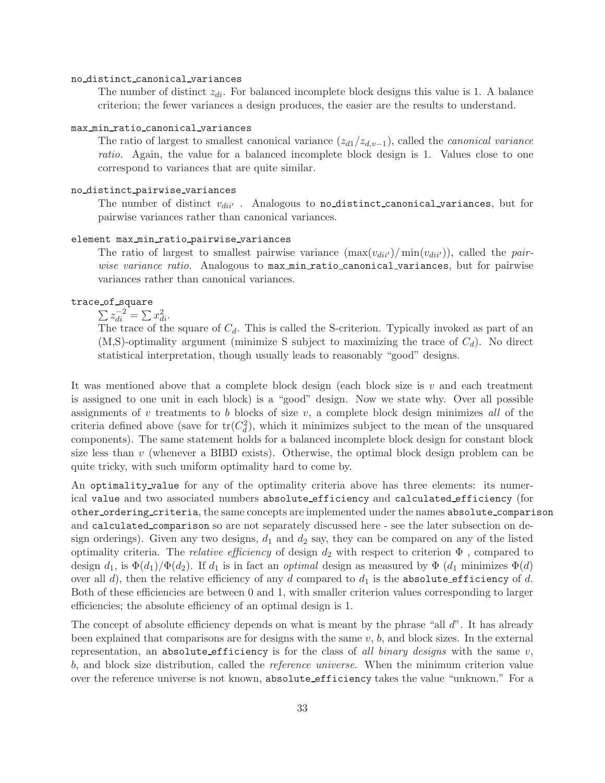#### no distinct canonical variances

The number of distinct  $z_{di}$ . For balanced incomplete block designs this value is 1. A balance criterion; the fewer variances a design produces, the easier are the results to understand.

#### max min ratio canonical variances

The ratio of largest to smallest canonical variance  $(z_{d1}/z_{d,v-1})$ , called the *canonical variance* ratio. Again, the value for a balanced incomplete block design is 1. Values close to one correspond to variances that are quite similar.

### no distinct pairwise variances

The number of distinct  $v_{di''}$ . Analogous to no distinct canonical variances, but for pairwise variances rather than canonical variances.

#### element max min ratio pairwise variances

The ratio of largest to smallest pairwise variance  $(\max(v_{div})/\min(v_{div}))$ , called the pairwise variance ratio. Analogous to max min ratio canonical variances, but for pairwise variances rather than canonical variances.

### trace of square

 $\sum z_{di}^{-2} = \sum x_{di}^2.$ 

The trace of the square of  $C_d$ . This is called the S-criterion. Typically invoked as part of an  $(M, S)$ -optimality argument (minimize S subject to maximizing the trace of  $C_d$ ). No direct statistical interpretation, though usually leads to reasonably "good" designs.

It was mentioned above that a complete block design (each block size is  $v$  and each treatment is assigned to one unit in each block) is a "good" design. Now we state why. Over all possible assignments of  $v$  treatments to  $b$  blocks of size  $v$ , a complete block design minimizes all of the criteria defined above (save for  $tr(C_d^2)$ , which it minimizes subject to the mean of the unsquared components). The same statement holds for a balanced incomplete block design for constant block size less than v (whenever a BIBD exists). Otherwise, the optimal block design problem can be quite tricky, with such uniform optimality hard to come by.

An optimality value for any of the optimality criteria above has three elements: its numerical value and two associated numbers absolute efficiency and calculated efficiency (for other ordering criteria, the same concepts are implemented under the names absolute comparison and calculated comparison so are not separately discussed here - see the later subsection on design orderings). Given any two designs,  $d_1$  and  $d_2$  say, they can be compared on any of the listed optimality criteria. The *relative efficiency* of design  $d_2$  with respect to criterion  $\Phi$ , compared to design  $d_1$ , is  $\Phi(d_1)/\Phi(d_2)$ . If  $d_1$  is in fact an *optimal* design as measured by  $\Phi(d_1)$  minimizes  $\Phi(d)$ over all d), then the relative efficiency of any d compared to  $d_1$  is the absolute efficiency of d. Both of these efficiencies are between 0 and 1, with smaller criterion values corresponding to larger efficiencies; the absolute efficiency of an optimal design is 1.

The concept of absolute efficiency depends on what is meant by the phrase "all d". It has already been explained that comparisons are for designs with the same  $v, b$ , and block sizes. In the external representation, an absolute efficiency is for the class of all binary designs with the same  $v$ , b, and block size distribution, called the reference universe. When the minimum criterion value over the reference universe is not known, absolute efficiency takes the value "unknown." For a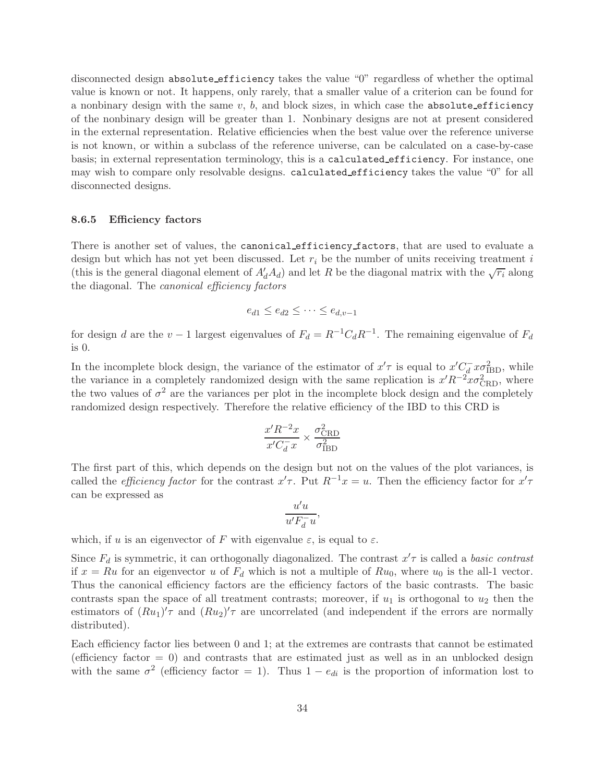disconnected design absolute efficiency takes the value "0" regardless of whether the optimal value is known or not. It happens, only rarely, that a smaller value of a criterion can be found for a nonbinary design with the same  $v, b$ , and block sizes, in which case the absolute efficiency of the nonbinary design will be greater than 1. Nonbinary designs are not at present considered in the external representation. Relative efficiencies when the best value over the reference universe is not known, or within a subclass of the reference universe, can be calculated on a case-by-case basis; in external representation terminology, this is a calculated efficiency. For instance, one may wish to compare only resolvable designs. calculated efficiency takes the value "0" for all disconnected designs.

### <span id="page-33-0"></span>8.6.5 Efficiency factors

There is another set of values, the canonical efficiency factors, that are used to evaluate a design but which has not yet been discussed. Let  $r_i$  be the number of units receiving treatment i (this is the general diagonal element of  $A'_dA_d$ ) and let R be the diagonal matrix with the  $\sqrt{r_i}$  along the diagonal. The canonical efficiency factors

$$
e_{d1} \le e_{d2} \le \cdots \le e_{d,v-1}
$$

for design d are the  $v-1$  largest eigenvalues of  $F_d = R^{-1}C_dR^{-1}$ . The remaining eigenvalue of  $F_d$ is 0.

In the incomplete block design, the variance of the estimator of  $x'\tau$  is equal to  $x'C_d^-x\sigma_{\text{IBD}}^2$ , while the variance in a completely randomized design with the same replication is  $x'R^{-2}x\sigma_{\text{CRD}}^2$ , where the two values of  $\sigma^2$  are the variances per plot in the incomplete block design and the completely randomized design respectively. Therefore the relative efficiency of the IBD to this CRD is

$$
\frac{x'R^{-2}x}{x'C_d^-x} \times \frac{\sigma_{\rm CRD}^2}{\sigma_{\rm IBD}^2}
$$

The first part of this, which depends on the design but not on the values of the plot variances, is called the *efficiency factor* for the contrast  $x'$ . Put  $R^{-1}x = u$ . Then the efficiency factor for  $x'\tau$ can be expressed as

$$
\frac{u'u}{u'F_d^-u},
$$

which, if u is an eigenvector of F with eigenvalue  $\varepsilon$ , is equal to  $\varepsilon$ .

Since  $F_d$  is symmetric, it can orthogonally diagonalized. The contrast  $x' \tau$  is called a *basic contrast* if  $x = Ru$  for an eigenvector u of  $F<sub>d</sub>$  which is not a multiple of  $Ru<sub>0</sub>$ , where  $u<sub>0</sub>$  is the all-1 vector. Thus the canonical efficiency factors are the efficiency factors of the basic contrasts. The basic contrasts span the space of all treatment contrasts; moreover, if  $u_1$  is orthogonal to  $u_2$  then the estimators of  $(Ru_1)'\tau$  and  $(Ru_2)'\tau$  are uncorrelated (and independent if the errors are normally distributed).

Each efficiency factor lies between 0 and 1; at the extremes are contrasts that cannot be estimated (efficiency factor  $= 0$ ) and contrasts that are estimated just as well as in an unblocked design with the same  $\sigma^2$  (efficiency factor = 1). Thus  $1 - e_{di}$  is the proportion of information lost to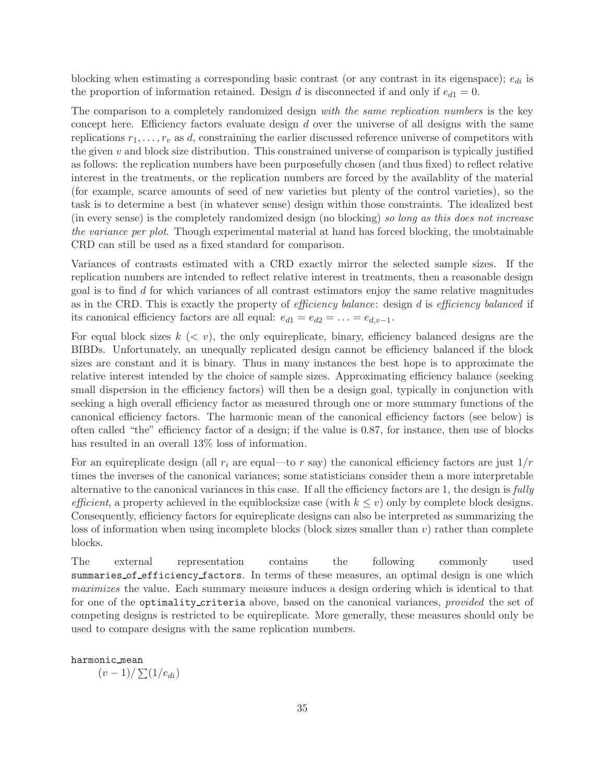blocking when estimating a corresponding basic contrast (or any contrast in its eigenspace);  $e_{di}$  is the proportion of information retained. Design d is disconnected if and only if  $e_{d1} = 0$ .

The comparison to a completely randomized design with the same replication numbers is the key concept here. Efficiency factors evaluate design  $d$  over the universe of all designs with the same replications  $r_1, \ldots, r_v$  as d, constraining the earlier discussed reference universe of competitors with the given  $v$  and block size distribution. This constrained universe of comparison is typically justified as follows: the replication numbers have been purposefully chosen (and thus fixed) to reflect relative interest in the treatments, or the replication numbers are forced by the availablity of the material (for example, scarce amounts of seed of new varieties but plenty of the control varieties), so the task is to determine a best (in whatever sense) design within those constraints. The idealized best (in every sense) is the completely randomized design (no blocking) so long as this does not increase the variance per plot. Though experimental material at hand has forced blocking, the unobtainable CRD can still be used as a fixed standard for comparison.

Variances of contrasts estimated with a CRD exactly mirror the selected sample sizes. If the replication numbers are intended to reflect relative interest in treatments, then a reasonable design goal is to find d for which variances of all contrast estimators enjoy the same relative magnitudes as in the CRD. This is exactly the property of efficiency balance: design d is efficiency balanced if its canonical efficiency factors are all equal:  $e_{d1} = e_{d2} = \ldots = e_{d,v-1}$ .

For equal block sizes  $k \, \langle \, \langle v \rangle$ , the only equireplicate, binary, efficiency balanced designs are the BIBDs. Unfortunately, an unequally replicated design cannot be efficiency balanced if the block sizes are constant and it is binary. Thus in many instances the best hope is to approximate the relative interest intended by the choice of sample sizes. Approximating efficiency balance (seeking small dispersion in the efficiency factors) will then be a design goal, typically in conjunction with seeking a high overall efficiency factor as measured through one or more summary functions of the canonical efficiency factors. The harmonic mean of the canonical efficiency factors (see below) is often called "the" efficiency factor of a design; if the value is 0.87, for instance, then use of blocks has resulted in an overall 13% loss of information.

For an equireplicate design (all  $r_i$  are equal—to r say) the canonical efficiency factors are just  $1/r$ times the inverses of the canonical variances; some statisticians consider them a more interpretable alternative to the canonical variances in this case. If all the efficiency factors are 1, the design is fully efficient, a property achieved in the equiblocksize case (with  $k \leq v$ ) only by complete block designs. Consequently, efficiency factors for equireplicate designs can also be interpreted as summarizing the loss of information when using incomplete blocks (block sizes smaller than  $v$ ) rather than complete blocks.

The external representation contains the following commonly used summaries of efficiency factors. In terms of these measures, an optimal design is one which maximizes the value. Each summary measure induces a design ordering which is identical to that for one of the optimality criteria above, based on the canonical variances, provided the set of competing designs is restricted to be equireplicate. More generally, these measures should only be used to compare designs with the same replication numbers.

harmonic mean

 $(v-1)/\sum(1/e_{di})$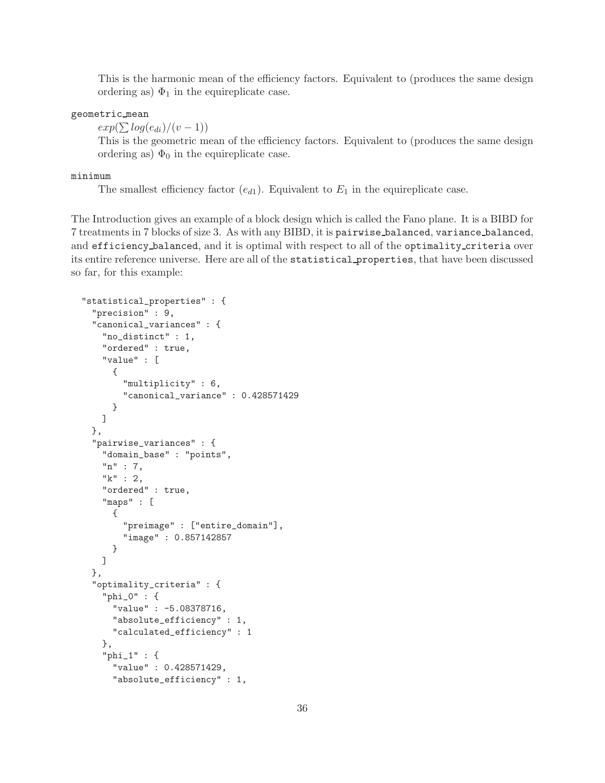This is the harmonic mean of the efficiency factors. Equivalent to (produces the same design ordering as)  $\Phi_1$  in the equireplicate case.

## geometric mean

 $exp(\sum log(e_{di})/(v-1))$ 

This is the geometric mean of the efficiency factors. Equivalent to (produces the same design ordering as)  $\Phi_0$  in the equireplicate case.

#### minimum

The smallest efficiency factor  $(e_{d1})$ . Equivalent to  $E_1$  in the equireplicate case.

The Introduction gives an example of a block design which is called the Fano plane. It is a BIBD for 7 treatments in 7 blocks of size 3. As with any BIBD, it is pairwise balanced, variance balanced, and efficiency balanced, and it is optimal with respect to all of the optimality criteria over its entire reference universe. Here are all of the statistical properties, that have been discussed so far, for this example:

```
"statistical_properties" : {
  "precision" : 9,
 "canonical_variances" : {
    "no_distinct" : 1,
    "ordered" : true,
    "value" : [
      {
        "multiplicity" : 6,
        "canonical_variance" : 0.428571429
      }
   ]
 },
  "pairwise_variances" : {
    "domain_base" : "points",
    "n" : 7,
    "k" : 2,
    "ordered" : true,
    "maps" : [
      {
        "preimage" : ["entire_domain"],
        "image" : 0.857142857
      }
   ]
 },
  "optimality_criteria" : {
    "phi_0" : {
      "value" : -5.08378716,
      "absolute_efficiency" : 1,
      "calculated_efficiency" : 1
    },
    "phi_1" : {
      "value" : 0.428571429,
      "absolute_efficiency" : 1,
```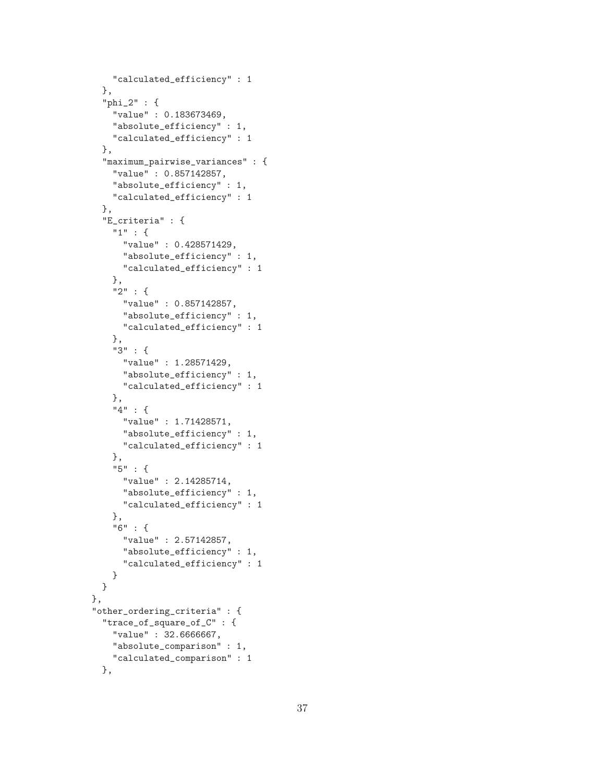```
"calculated_efficiency" : 1
  },
  "phi_2" : {
    "value" : 0.183673469,
    "absolute_efficiency" : 1,
    "calculated_efficiency" : 1
 },
  "maximum_pairwise_variances" : {
    "value" : 0.857142857,
    "absolute_efficiency" : 1,
    "calculated_efficiency" : 1
  },
  "E_criteria" : {
    "1" : {
      "value" : 0.428571429,
      "absolute_efficiency" : 1,
      "calculated_efficiency" : 1
   },
    "2" : {
     "value" : 0.857142857,
      "absolute_efficiency" : 1,
      "calculated_efficiency" : 1
   },
    "3" : {
     "value" : 1.28571429,
      "absolute_efficiency" : 1,
      "calculated_efficiency" : 1
   },
    "4" : {
      "value" : 1.71428571,
      "absolute_efficiency" : 1,
     "calculated_efficiency" : 1
   },
    "5" : {
      "value" : 2.14285714,
      "absolute_efficiency" : 1,
      "calculated_efficiency" : 1
   },
    "6" : {
      "value" : 2.57142857,
      "absolute_efficiency" : 1,
      "calculated_efficiency" : 1
   }
 }
},
"other_ordering_criteria" : {
  "trace_of_square_of_C" : {
   "value" : 32.6666667,
    "absolute_comparison" : 1,
    "calculated_comparison" : 1
 },
```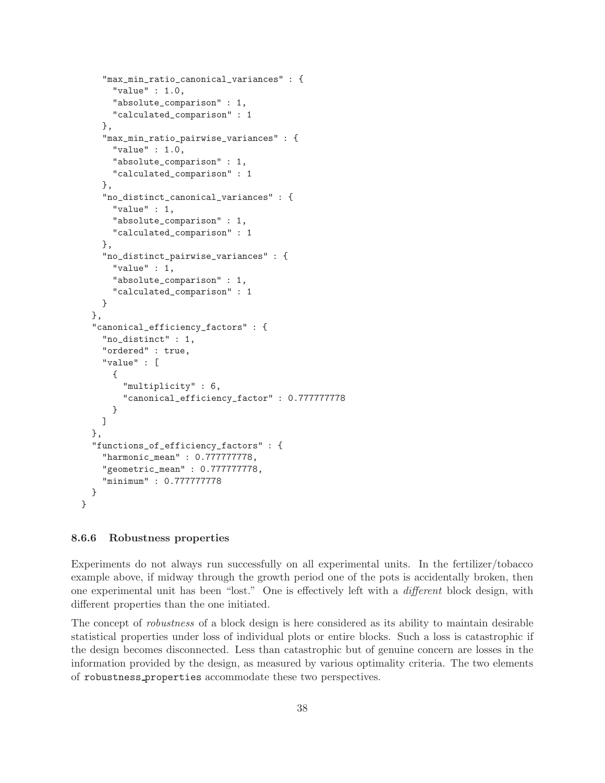```
"max_min_ratio_canonical_variances" : {
    "value" : 1.0,
    "absolute_comparison" : 1,
    "calculated_comparison" : 1
 },
  "max_min_ratio_pairwise_variances" : {
    "value" : 1.0,
    "absolute_comparison" : 1,
    "calculated_comparison" : 1
  },
  "no_distinct_canonical_variances" : {
    "value" : 1,
    "absolute_comparison" : 1,
    "calculated_comparison" : 1
  },
  "no_distinct_pairwise_variances" : {
    "value" : 1,
    "absolute_comparison" : 1,
    "calculated_comparison" : 1
  }
},
"canonical_efficiency_factors" : {
  "no_distinct" : 1,
  "ordered" : true,
  "value" : [
    {
      "multiplicity" : 6,
      "canonical_efficiency_factor" : 0.777777778
    }
  ]
},
"functions_of_efficiency_factors" : {
  "harmonic_mean" : 0.777777778,
  "geometric_mean" : 0.777777778,
  "minimum" : 0.777777778
}
```
## <span id="page-37-0"></span>8.6.6 Robustness properties

}

Experiments do not always run successfully on all experimental units. In the fertilizer/tobacco example above, if midway through the growth period one of the pots is accidentally broken, then one experimental unit has been "lost." One is effectively left with a different block design, with different properties than the one initiated.

The concept of robustness of a block design is here considered as its ability to maintain desirable statistical properties under loss of individual plots or entire blocks. Such a loss is catastrophic if the design becomes disconnected. Less than catastrophic but of genuine concern are losses in the information provided by the design, as measured by various optimality criteria. The two elements of robustness properties accommodate these two perspectives.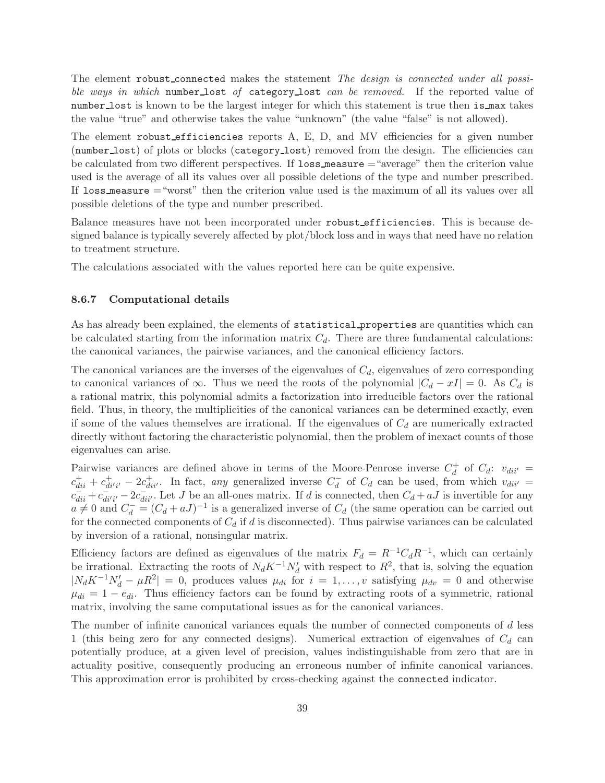The element robust connected makes the statement The design is connected under all possible ways in which number lost of category lost can be removed. If the reported value of number lost is known to be the largest integer for which this statement is true then is max takes the value "true" and otherwise takes the value "unknown" (the value "false" is not allowed).

The element robust efficiencies reports A, E, D, and MV efficiencies for a given number (number lost) of plots or blocks (category lost) removed from the design. The efficiencies can be calculated from two different perspectives. If loss measure ="average" then the criterion value used is the average of all its values over all possible deletions of the type and number prescribed. If loss measure ="worst" then the criterion value used is the maximum of all its values over all possible deletions of the type and number prescribed.

Balance measures have not been incorporated under robust efficiencies. This is because designed balance is typically severely affected by plot/block loss and in ways that need have no relation to treatment structure.

<span id="page-38-0"></span>The calculations associated with the values reported here can be quite expensive.

#### 8.6.7 Computational details

As has already been explained, the elements of statistical properties are quantities which can be calculated starting from the information matrix  $C_d$ . There are three fundamental calculations: the canonical variances, the pairwise variances, and the canonical efficiency factors.

The canonical variances are the inverses of the eigenvalues of  $C_d$ , eigenvalues of zero corresponding to canonical variances of  $\infty$ . Thus we need the roots of the polynomial  $|C_d - xI| = 0$ . As  $C_d$  is a rational matrix, this polynomial admits a factorization into irreducible factors over the rational field. Thus, in theory, the multiplicities of the canonical variances can be determined exactly, even if some of the values themselves are irrational. If the eigenvalues of  $C_d$  are numerically extracted directly without factoring the characteristic polynomial, then the problem of inexact counts of those eigenvalues can arise.

Pairwise variances are defined above in terms of the Moore-Penrose inverse  $C_d^+$  of  $C_d$ :  $v_{di''} =$  $c_{dii}^+ + c_{di'i'}^+ - 2c_{dii'}^+$ . In fact, any generalized inverse  $C_d^-$  of  $C_d$  can be used, from which  $v_{dii'} =$  $c_{dii}^- + c_{dii'i'}^+ - 2c_{dii'}^-$ . Let J be an all-ones matrix. If d is connected, then  $C_d + aJ$  is invertible for any  $a \neq 0$  and  $C_d^- = (C_d + aJ)^{-1}$  is a generalized inverse of  $C_d$  (the same operation can be carried out for the connected components of  $C_d$  if d is disconnected). Thus pairwise variances can be calculated by inversion of a rational, nonsingular matrix.

Efficiency factors are defined as eigenvalues of the matrix  $F_d = R^{-1}C_dR^{-1}$ , which can certainly be irrational. Extracting the roots of  $N_d K^{-1} N'_d$  with respect to  $R^2$ , that is, solving the equation  $|N_dK^{-1}N'_d - \mu R^2| = 0$ , produces values  $\mu_{di}$  for  $i = 1, ..., v$  satisfying  $\mu_{dv} = 0$  and otherwise  $\mu_{di} = 1 - e_{di}$ . Thus efficiency factors can be found by extracting roots of a symmetric, rational matrix, involving the same computational issues as for the canonical variances.

The number of infinite canonical variances equals the number of connected components of d less 1 (this being zero for any connected designs). Numerical extraction of eigenvalues of  $C_d$  can potentially produce, at a given level of precision, values indistinguishable from zero that are in actuality positive, consequently producing an erroneous number of infinite canonical variances. This approximation error is prohibited by cross-checking against the connected indicator.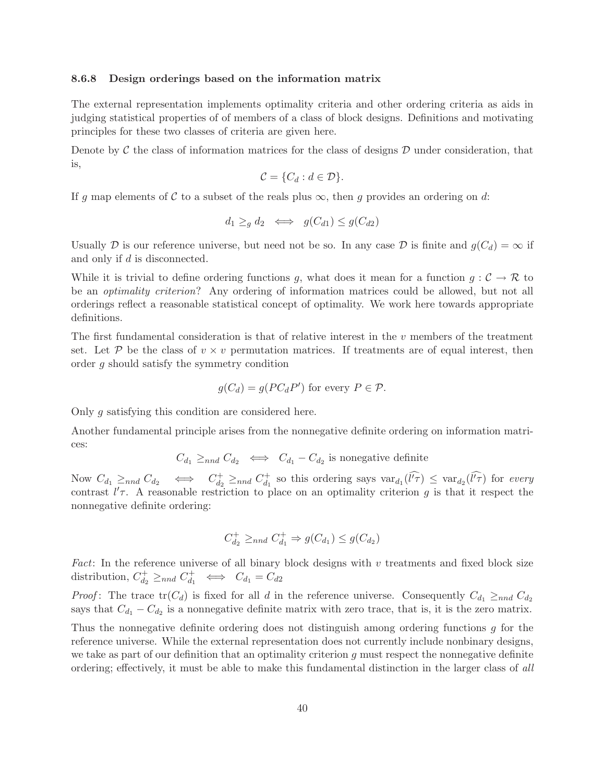#### <span id="page-39-0"></span>8.6.8 Design orderings based on the information matrix

The external representation implements optimality criteria and other ordering criteria as aids in judging statistical properties of of members of a class of block designs. Definitions and motivating principles for these two classes of criteria are given here.

Denote by  $\mathcal C$  the class of information matrices for the class of designs  $\mathcal D$  under consideration, that is,

$$
\mathcal{C} = \{C_d : d \in \mathcal{D}\}.
$$

If g map elements of C to a subset of the reals plus  $\infty$ , then g provides an ordering on d:

$$
d_1 \geq_g d_2 \iff g(C_{d1}) \leq g(C_{d2})
$$

Usually D is our reference universe, but need not be so. In any case D is finite and  $g(C_d) = \infty$  if and only if d is disconnected.

While it is trivial to define ordering functions g, what does it mean for a function  $g: \mathcal{C} \to \mathcal{R}$  to be an optimality criterion? Any ordering of information matrices could be allowed, but not all orderings reflect a reasonable statistical concept of optimality. We work here towards appropriate definitions.

The first fundamental consideration is that of relative interest in the  $v$  members of the treatment set. Let P be the class of  $v \times v$  permutation matrices. If treatments are of equal interest, then order g should satisfy the symmetry condition

$$
g(C_d) = g(PC_dP') \text{ for every } P \in \mathcal{P}.
$$

Only g satisfying this condition are considered here.

Another fundamental principle arises from the nonnegative definite ordering on information matrices:

$$
C_{d_1} \geq_{nnd} C_{d_2} \iff C_{d_1} - C_{d_2}
$$
 is nonegative definite

Now  $C_{d_1} \ge_{nnd} C_{d_2} \iff C_{d_2}^+ \ge_{nnd} C_{d_1}^+$  so this ordering says  $var_{d_1}(\widehat{l'}\tau) \leq var_{d_2}(\widehat{l'}\tau)$  for every contrast  $l'$ . A reasonable restriction to place on an optimality criterion g is that it respect the nonnegative definite ordering:

$$
C_{d_2}^+ \geq_{nnd} C_{d_1}^+ \Rightarrow g(C_{d_1}) \leq g(C_{d_2})
$$

Fact: In the reference universe of all binary block designs with  $v$  treatments and fixed block size distribution,  $C_{d_2}^+ \geq_{nnd} C_{d_1}^+ \iff C_{d_1} = C_{d_2}$ 

*Proof*: The trace  $tr(C_d)$  is fixed for all d in the reference universe. Consequently  $C_{d_1} \geq_{nnd} C_{d_2}$ says that  $C_{d_1} - C_{d_2}$  is a nonnegative definite matrix with zero trace, that is, it is the zero matrix.

Thus the nonnegative definite ordering does not distinguish among ordering functions g for the reference universe. While the external representation does not currently include nonbinary designs, we take as part of our definition that an optimality criterion  $g$  must respect the nonnegative definite ordering; effectively, it must be able to make this fundamental distinction in the larger class of all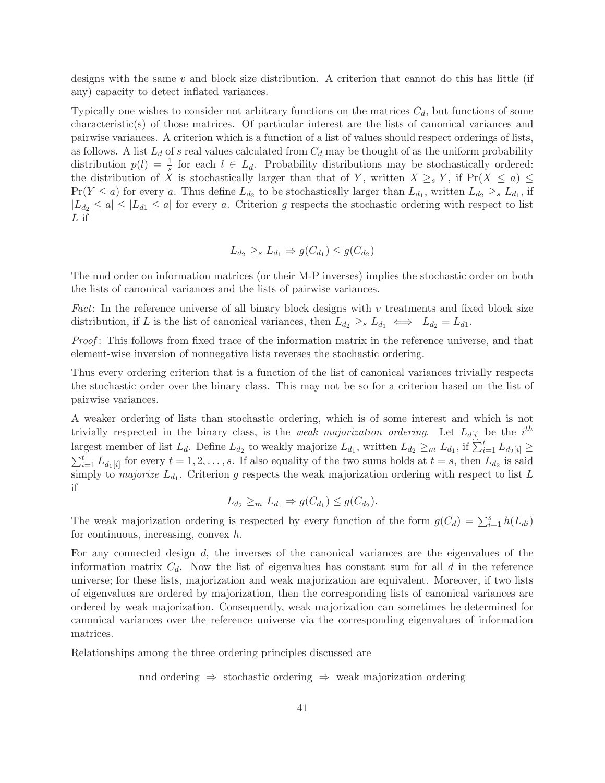designs with the same v and block size distribution. A criterion that cannot do this has little (if any) capacity to detect inflated variances.

Typically one wishes to consider not arbitrary functions on the matrices  $C_d$ , but functions of some characteristic(s) of those matrices. Of particular interest are the lists of canonical variances and pairwise variances. A criterion which is a function of a list of values should respect orderings of lists, as follows. A list  $L_d$  of s real values calculated from  $C_d$  may be thought of as the uniform probability distribution  $p(l) = \frac{1}{s}$  for each  $l \in L_d$ . Probability distributions may be stochastically ordered: the distribution of X is stochastically larger than that of Y, written  $X \geq_s Y$ , if  $Pr(X \leq a) \leq$  $Pr(Y \le a)$  for every a. Thus define  $L_{d_2}$  to be stochastically larger than  $L_{d_1}$ , written  $L_{d_2} \ge s L_{d_1}$ , if  $|L_{d_2} \le a| \le |L_{d1} \le a|$  for every a. Criterion g respects the stochastic ordering with respect to list L if

$$
L_{d_2} \geq_s L_{d_1} \Rightarrow g(C_{d_1}) \leq g(C_{d_2})
$$

The nnd order on information matrices (or their M-P inverses) implies the stochastic order on both the lists of canonical variances and the lists of pairwise variances.

Fact: In the reference universe of all binary block designs with  $v$  treatments and fixed block size distribution, if L is the list of canonical variances, then  $L_{d_2} \geq_s L_{d_1} \iff L_{d_2} = L_{d_1}$ .

Proof: This follows from fixed trace of the information matrix in the reference universe, and that element-wise inversion of nonnegative lists reverses the stochastic ordering.

Thus every ordering criterion that is a function of the list of canonical variances trivially respects the stochastic order over the binary class. This may not be so for a criterion based on the list of pairwise variances.

A weaker ordering of lists than stochastic ordering, which is of some interest and which is not trivially respected in the binary class, is the *weak majorization ordering*. Let  $L_{d[i]}$  be the *i*<sup>th</sup> largest member of list  $L_d$ . Define  $L_{d_2}$  to weakly majorize  $L_{d_1}$ , written  $L_{d_2} \geq_m L_{d_1}$ , if  $\sum_{i=1}^t L_{d_2[i]} \geq$  $\sum_{i=1}^t L_{d_1[i]}$  for every  $t = 1, 2, \ldots, s$ . If also equality of the two sums holds at  $t = s$ , then  $L_{d_2}$  is said simply to *majorize*  $L_{d_1}$ . Criterion g respects the weak majorization ordering with respect to list L if

$$
L_{d_2} \geq_m L_{d_1} \Rightarrow g(C_{d_1}) \leq g(C_{d_2}).
$$

The weak majorization ordering is respected by every function of the form  $g(C_d) = \sum_{i=1}^{s} h(L_{di})$ for continuous, increasing, convex h.

For any connected design d, the inverses of the canonical variances are the eigenvalues of the information matrix  $C_d$ . Now the list of eigenvalues has constant sum for all d in the reference universe; for these lists, majorization and weak majorization are equivalent. Moreover, if two lists of eigenvalues are ordered by majorization, then the corresponding lists of canonical variances are ordered by weak majorization. Consequently, weak majorization can sometimes be determined for canonical variances over the reference universe via the corresponding eigenvalues of information matrices.

Relationships among the three ordering principles discussed are

nnd ordering ⇒ stochastic ordering ⇒ weak majorization ordering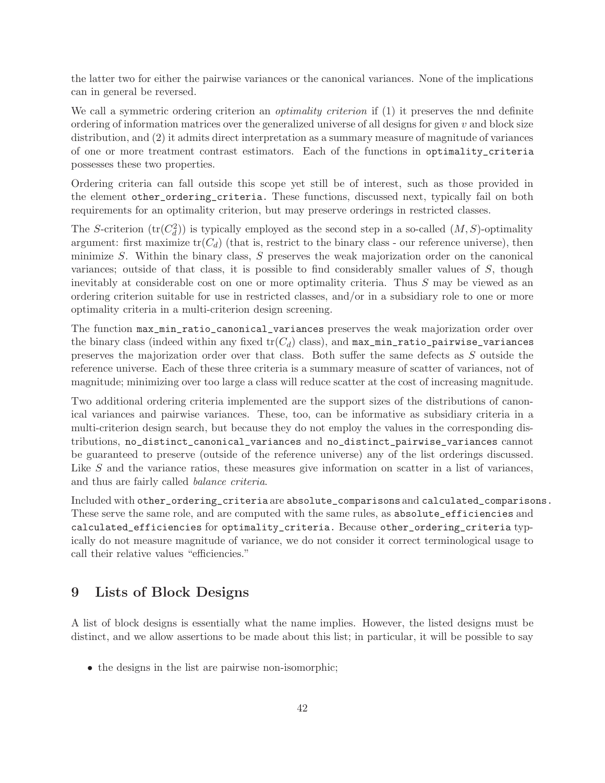the latter two for either the pairwise variances or the canonical variances. None of the implications can in general be reversed.

We call a symmetric ordering criterion an *optimality criterion* if (1) it preserves the nnd definite ordering of information matrices over the generalized universe of all designs for given  $v$  and block size distribution, and (2) it admits direct interpretation as a summary measure of magnitude of variances of one or more treatment contrast estimators. Each of the functions in optimality\_criteria possesses these two properties.

Ordering criteria can fall outside this scope yet still be of interest, such as those provided in the element other\_ordering\_criteria. These functions, discussed next, typically fail on both requirements for an optimality criterion, but may preserve orderings in restricted classes.

The S-criterion  $(tr(C_d^2))$  is typically employed as the second step in a so-called  $(M, S)$ -optimality argument: first maximize  $tr(C_d)$  (that is, restrict to the binary class - our reference universe), then minimize S. Within the binary class, S preserves the weak majorization order on the canonical variances; outside of that class, it is possible to find considerably smaller values of S, though inevitably at considerable cost on one or more optimality criteria. Thus S may be viewed as an ordering criterion suitable for use in restricted classes, and/or in a subsidiary role to one or more optimality criteria in a multi-criterion design screening.

The function max\_min\_ratio\_canonical\_variances preserves the weak majorization order over the binary class (indeed within any fixed  $tr(C_d)$  class), and max\_min\_ratio\_pairwise\_variances preserves the majorization order over that class. Both suffer the same defects as S outside the reference universe. Each of these three criteria is a summary measure of scatter of variances, not of magnitude; minimizing over too large a class will reduce scatter at the cost of increasing magnitude.

Two additional ordering criteria implemented are the support sizes of the distributions of canonical variances and pairwise variances. These, too, can be informative as subsidiary criteria in a multi-criterion design search, but because they do not employ the values in the corresponding distributions, no\_distinct\_canonical\_variances and no\_distinct\_pairwise\_variances cannot be guaranteed to preserve (outside of the reference universe) any of the list orderings discussed. Like S and the variance ratios, these measures give information on scatter in a list of variances, and thus are fairly called balance criteria.

Included with other\_ordering\_criteria are absolute\_comparisons and calculated\_comparisons. These serve the same role, and are computed with the same rules, as absolute\_efficiencies and calculated\_efficiencies for optimality\_criteria. Because other\_ordering\_criteria typically do not measure magnitude of variance, we do not consider it correct terminological usage to call their relative values "efficiencies."

## <span id="page-41-0"></span>9 Lists of Block Designs

A list of block designs is essentially what the name implies. However, the listed designs must be distinct, and we allow assertions to be made about this list; in particular, it will be possible to say

• the designs in the list are pairwise non-isomorphic;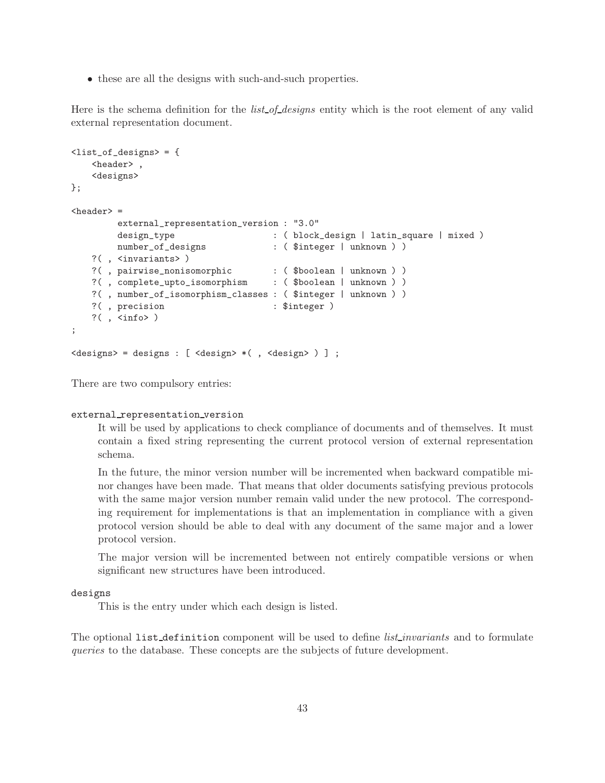• these are all the designs with such-and-such properties.

Here is the schema definition for the *list* of designs entity which is the root element of any valid external representation document.

```
<list_of_designs> = {
   <header> ,
   <designs>
};
\langleheader> =
        external_representation_version : "3.0"
        design_type : ( block_design | latin_square | mixed )
        number_of_designs : ( $integer | unknown ) )
   ?( , <invariants> )
   ?( , pairwise_nonisomorphic : ( $boolean | unknown ) )
   ?( , complete_upto_isomorphism : ( $boolean | unknown ) )
   ?( , number_of_isomorphism_classes : ( $integer | unknown ) )
   ?(, precision : $integer )
   ?(\ , <\inf<);
<designs> = designs : [ <design> *( , <design> ) ] ;
```
There are two compulsory entries:

#### external representation version

It will be used by applications to check compliance of documents and of themselves. It must contain a fixed string representing the current protocol version of external representation schema.

In the future, the minor version number will be incremented when backward compatible minor changes have been made. That means that older documents satisfying previous protocols with the same major version number remain valid under the new protocol. The corresponding requirement for implementations is that an implementation in compliance with a given protocol version should be able to deal with any document of the same major and a lower protocol version.

The major version will be incremented between not entirely compatible versions or when significant new structures have been introduced.

#### designs

This is the entry under which each design is listed.

The optional list definition component will be used to define *list invariants* and to formulate queries to the database. These concepts are the subjects of future development.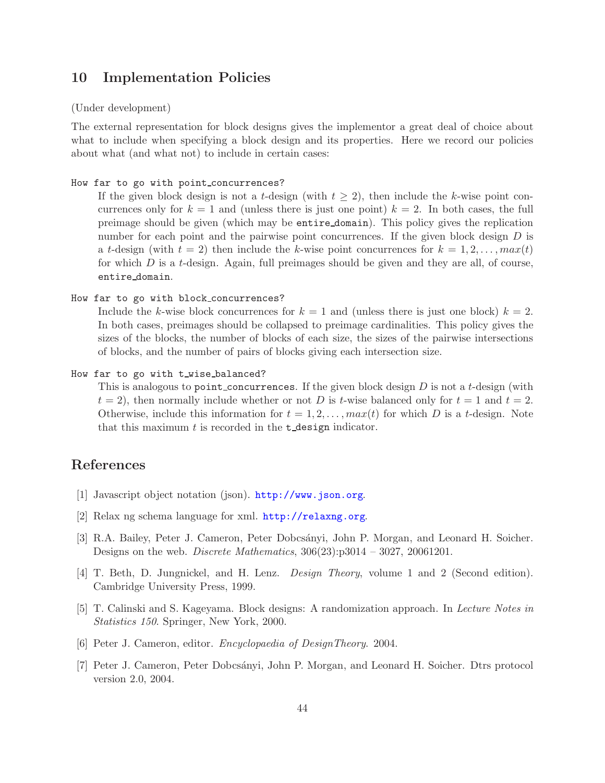## <span id="page-43-0"></span>10 Implementation Policies

#### (Under development)

The external representation for block designs gives the implementor a great deal of choice about what to include when specifying a block design and its properties. Here we record our policies about what (and what not) to include in certain cases:

#### How far to go with point\_concurrences?

If the given block design is not a t-design (with  $t \geq 2$ ), then include the k-wise point concurrences only for  $k = 1$  and (unless there is just one point)  $k = 2$ . In both cases, the full preimage should be given (which may be entire domain). This policy gives the replication number for each point and the pairwise point concurrences. If the given block design  $D$  is a t-design (with  $t = 2$ ) then include the k-wise point concurrences for  $k = 1, 2, \ldots, max(t)$ for which  $D$  is a t-design. Again, full preimages should be given and they are all, of course, entire domain.

```
How far to go with block concurrences?
```
Include the k-wise block concurrences for  $k = 1$  and (unless there is just one block)  $k = 2$ . In both cases, preimages should be collapsed to preimage cardinalities. This policy gives the sizes of the blocks, the number of blocks of each size, the sizes of the pairwise intersections of blocks, and the number of pairs of blocks giving each intersection size.

```
How far to go with t_wise_balanced?
```
This is analogous to point concurrences. If the given block design  $D$  is not a t-design (with  $t = 2$ , then normally include whether or not D is t-wise balanced only for  $t = 1$  and  $t = 2$ . Otherwise, include this information for  $t = 1, 2, \ldots, max(t)$  for which D is a t-design. Note that this maximum  $t$  is recorded in the  $t$ -design indicator.

## <span id="page-43-3"></span>References

- <span id="page-43-4"></span>[1] Javascript object notation (json). <http://www.json.org>.
- <span id="page-43-1"></span>[2] Relax ng schema language for xml. <http://relaxng.org>.
- [3] R.A. Bailey, Peter J. Cameron, Peter Dobcs´anyi, John P. Morgan, and Leonard H. Soicher. Designs on the web. Discrete Mathematics, 306(23):p3014 – 3027, 20061201.
- [4] T. Beth, D. Jungnickel, and H. Lenz. Design Theory, volume 1 and 2 (Second edition). Cambridge University Press, 1999.
- [5] T. Calinski and S. Kageyama. Block designs: A randomization approach. In Lecture Notes in Statistics 150. Springer, New York, 2000.
- <span id="page-43-2"></span>[6] Peter J. Cameron, editor. Encyclopaedia of DesignTheory. 2004.
- [7] Peter J. Cameron, Peter Dobcs´anyi, John P. Morgan, and Leonard H. Soicher. Dtrs protocol version 2.0, 2004.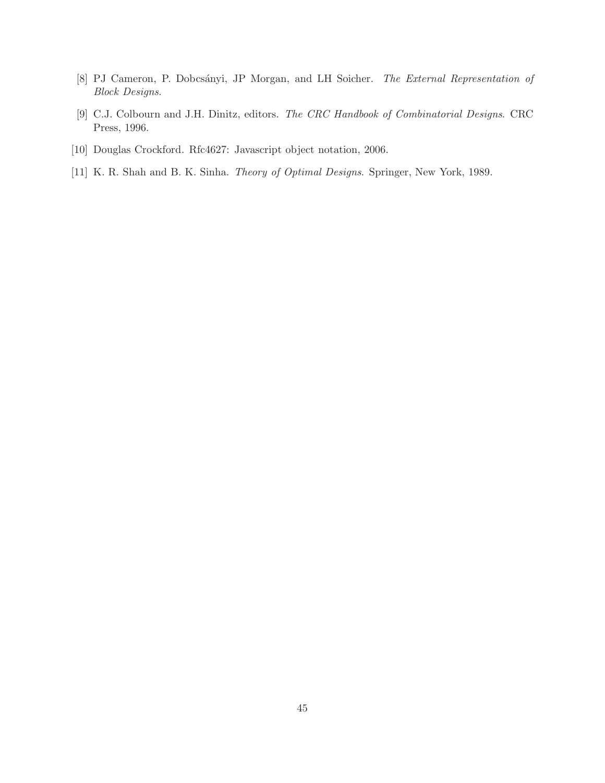- <span id="page-44-0"></span>[8] PJ Cameron, P. Dobcsányi, JP Morgan, and LH Soicher. The External Representation of Block Designs.
- [9] C.J. Colbourn and J.H. Dinitz, editors. The CRC Handbook of Combinatorial Designs. CRC Press, 1996.
- <span id="page-44-1"></span>[10] Douglas Crockford. Rfc4627: Javascript object notation, 2006.
- [11] K. R. Shah and B. K. Sinha. Theory of Optimal Designs. Springer, New York, 1989.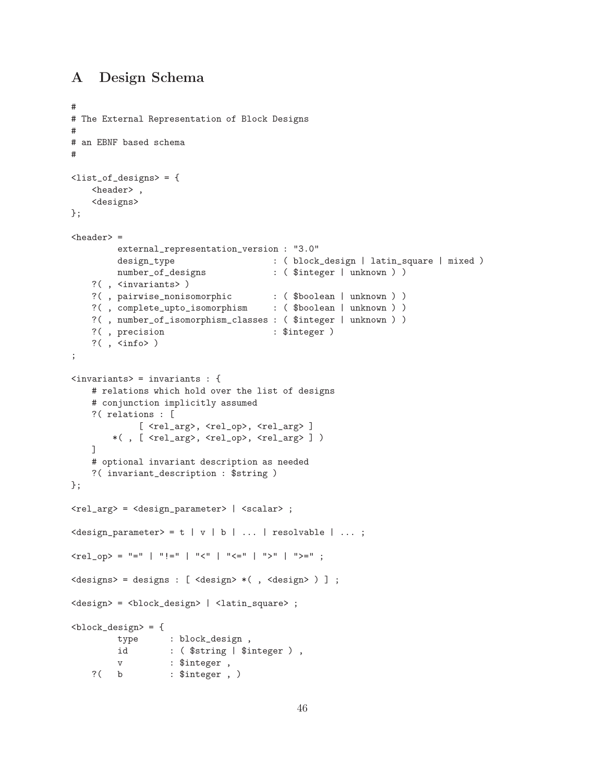## <span id="page-45-0"></span>A Design Schema

```
#
# The External Representation of Block Designs
#
# an EBNF based schema
#
<list_of_designs> = {
   <header> ,
    <designs>
};
<sub>header</sub> =</sub>
         external_representation_version : "3.0"
         design_type \qquad \qquad : \quad ( \text{ block\_design } \mid \text{ latin\_square } \mid \text{ mixed } )number_of_designs : ( $integer | unknown ) )
   ?( , <invariants> )
    ?( , pairwise_nonisomorphic : ( $boolean | unknown ) )
    ?( , complete_upto_isomorphism : ( $boolean | unknown ) )
   ?( , number_of_isomorphism_classes : ( $integer | unknown ) )
   ?(, precision : $integer )
   ?( , <i>info</i>);
<invariants> = invariants : {
   # relations which hold over the list of designs
   # conjunction implicitly assumed
   ?( relations : [
             [ <rel_arg>, <rel_op>, <rel_arg> ]
        *( , [ <rel_arg>, <rel_op>, <rel_arg> ] )
   ]
    # optional invariant description as needed
    ?( invariant_description : $string )
};
<rel_arg> = <design_parameter> | <scalar> ;
\le design_parameter> = t | v | b | ... | resolvable | ... ;
\text{Yrel\_op} > = "=" | ":=" | "\text{Y}" | "\text{Y}=" | "\text{Y}" | "\text{Y}=" ;
<designs> = designs : [ <design> *( , <design> ) ] ;
<design> = <block_design> | <latin_square> ;

         type : block_design ,
         id : ($string | $integer ),
         v : $integer ,
   ?( b : $integer , )
```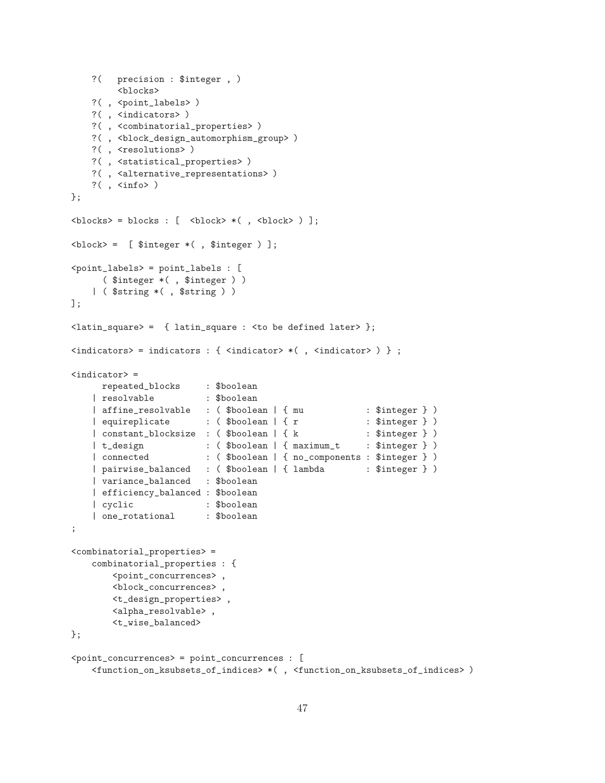```
?( precision : $integer , )
        <blocks>
   ?( , <point_labels> )
   ?( , <indicators> )
   ?( , <combinatorial_properties> )
   ?( , <block_design_automorphism_group> )
   ?(, <resolutions>)
   ?( , <statistical_properties> )
   ?( , <alternative_representations> )
   ?( , <info> )
};

\langle block \rangle = [ $integer *(, $integer )];
<point_labels> = point_labels : [
     ( $integer *( , $integer ) )
   | ( $string *( , $string ) )
];
\langlelatin_square> = { latin_square : \langle to be defined later> };
\langleindicators> = indicators : { \langleindicator> *(, \langleindicator> ) } ;
\langleindicator> =
    repeated_blocks : $boolean
   | resolvable : $boolean
   | affine_resolvable : ($boolean | { mu : $integer } )
   | equireplicate : ( $boolean | { r * : $integer } )
    | constant_blocksize : ($boolean | { k : $integer } )
    | t_design : ( $boolean | { maximum_t : $integer } )
    | connected : ( $boolean | { no_components : $integer } )
   | pairwise_balanced : ($boolean | { lambda : $integer } )
   | variance_balanced : $boolean
   | efficiency_balanced : $boolean
   | cyclic : $boolean
   | one_rotational : $boolean
;
<combinatorial_properties> =
   combinatorial_properties : {
       <point_concurrences> ,
       <block_concurrences> ,
       <t_design_properties> ,
       <alpha_resolvable> ,
       <t_wise_balanced>
};
<point_concurrences> = point_concurrences : [
   <function_on_ksubsets_of_indices> *( , <function_on_ksubsets_of_indices> )
```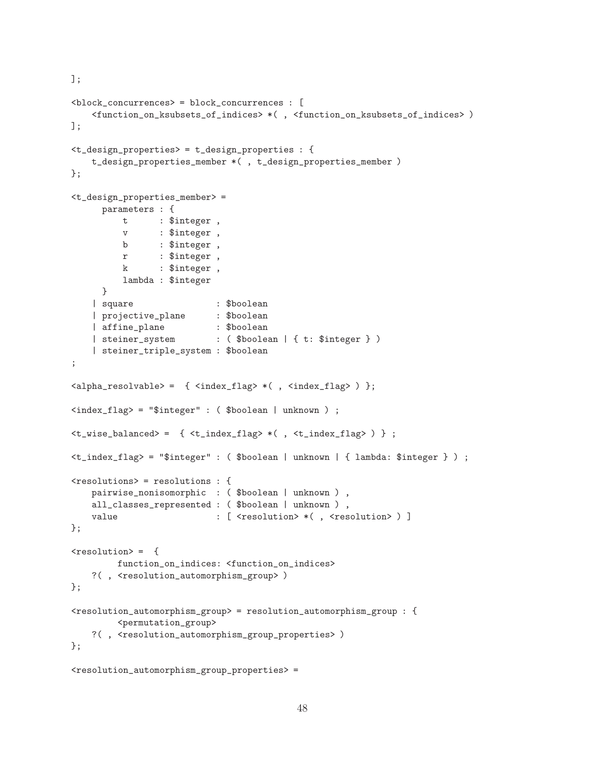```
<block_concurrences> = block_concurrences : [
   <function_on_ksubsets_of_indices> *( , <function_on_ksubsets_of_indices> )
];
<t_design_properties> = t_design_properties : {
   t_design_properties_member *( , t_design_properties_member )
};
<t_design_properties_member> =
     parameters : {
         t : $integer ,
         v : $integer ,
         b : $integer ,
         r : $integer ,
         k : $integer ,
         lambda : $integer
     }
   | square : $boolean
    | projective_plane : $boolean
    | affine_plane : $boolean
   | steiner_system : ( $boolean | { t: $integer } )
    | steiner_triple_system : $boolean
;
\langlealpha_resolvable> = { \langleindex_flag> *(, \langleindex_flag> ) };
<index_flag> = "$integer" : ( $boolean | unknown ) ;
<t_wise_balanced> = { <t_index_flag> *( , <t_index_flag> ) } ;
<t_index_flag> = "$integer" : ( $boolean | unknown | { lambda: $integer } ) ;
<resolutions> = resolutions : {
   pairwise_nonisomorphic : ( $boolean | unknown ) ,
   all_classes_represented : ( $boolean | unknown ),
   value : [ <resolution> *( , <resolution> ) ]
};
<sub>resolution</sub> = {</sub>
        function_on_indices: <function_on_indices>
   ?(, <resolution_automorphism_group>)
};
<resolution_automorphism_group> = resolution_automorphism_group : {
        <permutation_group>
   ?( , <resolution_automorphism_group_properties> )
};
```

```
<resolution_automorphism_group_properties> =
```
];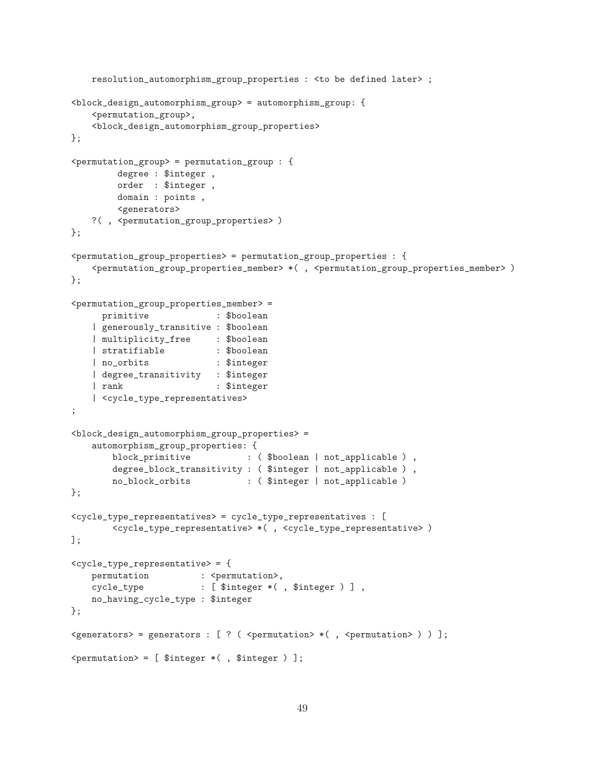```
resolution_automorphism_group_properties : <to be defined later> ;
<block_design_automorphism_group> = automorphism_group: {
    <permutation_group>,
    <block_design_automorphism_group_properties>
};
<permutation_group> = permutation_group : {
         degree : $integer ,
         order : $integer ,
         domain : points ,
         <generators>
    ?( , <permutation_group_properties> )
};
<permutation_group_properties> = permutation_group_properties : {
    <permutation_group_properties_member> *( , <permutation_group_properties_member> )
};
<permutation_group_properties_member> =
      primitive : $boolean
    | generously_transitive : $boolean
    | multiplicity_free : $boolean
    | stratifiable : $boolean
    | no_orbits : $integer
    | degree_transitivity : $integer
    | rank : $integer
    | <cycle_type_representatives>
;
<block_design_automorphism_group_properties> =
    automorphism_group_properties: {
        block_primitive : ($boolean | not_applicable ),
        degree_block_transitivity : ( $integer | not_applicable ) ,
        no_block_orbits : ( $integer | not_applicable )
};
<cycle_type_representatives> = cycle_type_representatives : [
        <cycle_type_representative> *( , <cycle_type_representative> )
];
<cycle_type_representative> = {
    permutation : <permutation>,
    cycle_type : [ $integer *( , $integer ) ] ,
    no_having_cycle_type : $integer
};
\leq \leq \leq \leq \leq \leq \leq \leq \leq \leq \leq \leq \leq \leq \leq \leq \leq \leq \leq \leq \leq \leq \leq \leq \leq \leq \leq \leq \leq \leq \leq \leq \leq \leq \leq \leq \leq<permutation> = [ $integer *( , $integer ) ];
```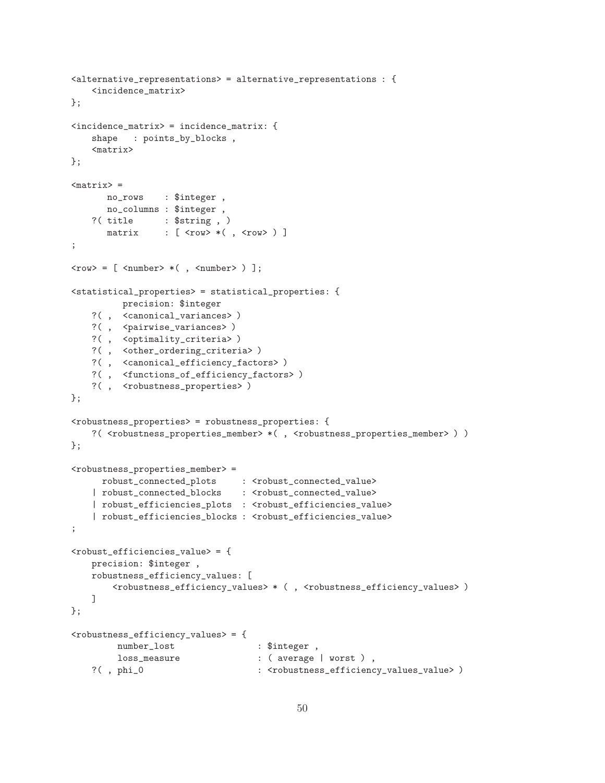```
<alternative_representations> = alternative_representations : {
    <incidence_matrix>
};
<incidence_matrix> = incidence_matrix: {
    shape : points_by_blocks ,
    <matrix>
};
<math>mark</math> =no_rows : $integer ,
      no_columns : $integer ,
    ?( title : $string , )
      matrix : [ <row> *(, <row>) ]
;
\langle \text{row} \rangle = [ \langle \text{number} \rangle * ( \ , \langle \text{number} \rangle ) ];
<statistical_properties> = statistical_properties: {
         precision: $integer
    ?( , <canonical_variances> )
    ?(, <pairwise_variances>)
    ?( , <optimality_criteria> )
    ?( , <other_ordering_criteria> )
    ?( , <canonical_efficiency_factors> )
    ?( , <functions_of_efficiency_factors> )
    ?(, <robustness_properties>)
};
<robustness_properties> = robustness_properties: {
    ?( <robustness_properties_member> *( , <robustness_properties_member> ) )
};
<robustness_properties_member> =
     robust_connected_plots : <robust_connected_value>
    | robust_connected_blocks : <robust_connected_value>
    | robust_efficiencies_plots : <robust_efficiencies_value>
    | robust_efficiencies_blocks : <robust_efficiencies_value>
;
<robust_efficiencies_value> = {
    precision: $integer ,
    robustness_efficiency_values: [
        <robustness_efficiency_values> * ( , <robustness_efficiency_values> )
    ]
};
<robustness_efficiency_values> = {
         number_lost : $integer ,
        loss_measure : ( average | worst ),
    ?(, phi_0 : <robustness_efficiency_values_value> )
```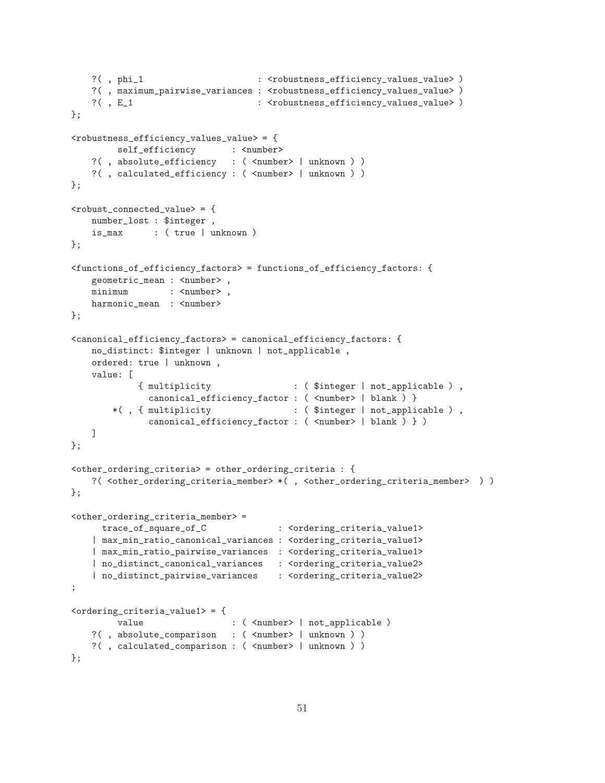```
?(, phi_1 : <robustness_efficiency_values_value> )
   ?(, maximum_pairwise_variances : <robustness_efficiency_values_value> )
   ?(, E_1 \qquad \qquad : <robustness_efficiency_values_value> )
};
<robustness_efficiency_values_value> = {
        self_efficiency : <number>
   ?( , absolute_efficiency : ( <number> | unknown ) )
   ?( , calculated_efficiency : ( <number> | unknown ) )
};
<robust_connected_value> = {
   number_lost : $integer ,
   is_max : ( true | unknown )
};
<functions_of_efficiency_factors> = functions_of_efficiency_factors: {
   geometric_mean : <number>,
   minimum : <number>,
   harmonic_mean : <number>
};
<canonical_efficiency_factors> = canonical_efficiency_factors: {
   no_distinct: $integer | unknown | not_applicable ,
   ordered: true | unknown ,
   value: [
            { multiplicity : ( $integer | not_applicable ) ,
             canonical_efficiency_factor : ( <number> | blank ) }
       *( , { multiplicity : ( $integer | not_applicable ) ,
             canonical_efficiency_factor : ( <number> | blank ) } )
   ]
};
<other_ordering_criteria> = other_ordering_criteria : {
   ?( <other_ordering_criteria_member> *( , <other_ordering_criteria_member> ) )
};
<other_ordering_criteria_member> =
     trace_of_square_of_C : <ordering_criteria_value1>
   | max_min_ratio_canonical_variances : <ordering_criteria_value1>
   | max_min_ratio_pairwise_variances : <ordering_criteria_value1>
   | no_distinct_canonical_variances : <ordering_criteria_value2>
   | no_distinct_pairwise_variances : <ordering_criteria_value2>
;
<ordering_criteria_value1> = {
        value : ( <number> | not_applicable )
   ?( , absolute_comparison : ( <number> | unknown ) )
   ?( , calculated_comparison : ( <number> | unknown ) )
};
```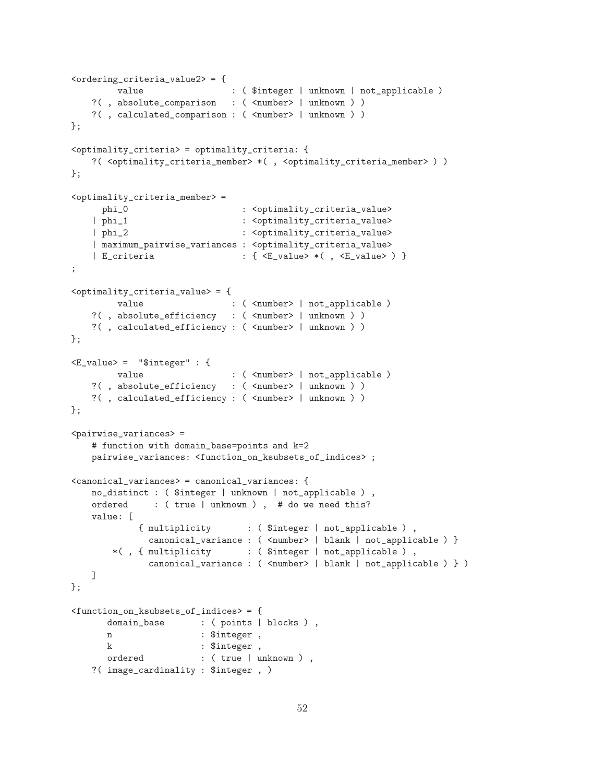```
<ordering_criteria_value2> = {
        value : ( $integer | unknown | not\_applicable )
   ?( , absolute_comparison : ( <number> | unknown ) )
   ?( , calculated_comparison : ( <number> | unknown ) )
};
<optimality_criteria> = optimality_criteria: {
   ?( <optimality_criteria_member> *( , <optimality_criteria_member> ) )
};
<optimality_criteria_member> =
     phi_0 : <optimality_criteria_value>
   | phi_1 : <optimality_criteria_value>
   | phi_2 : <optimality_criteria_value>
   | maximum_pairwise_variances : <optimality_criteria_value>
   | E_criteria \qquad : \{ \langle E\_value \rangle \times (\ , \langle E\_value \rangle \ ) \ \};
<optimality_criteria_value> = {
        value : ( <number> | not_applicable )
   ?( , absolute_efficiency : ( <number> | unknown ) )
   ?( , calculated_efficiency : ( <number> | unknown ) )
};
<E_value> = "$integer" : {
        value : ( <number> | not_applicable )
   ?( , absolute_efficiency : ( <number> | unknown ) )
   ?(, calculated_efficiency : (<number> | unknown ) )
};
<pairwise_variances> =
   # function with domain_base=points and k=2
   pairwise_variances: <function_on_ksubsets_of_indices> ;
<canonical_variances> = canonical_variances: {
   no_distinct : ( $integer | unknown | not_applicable ) ,
   ordered : ( true | unknown ) , # do we need this?
   value: [
            { multiplicity : ( $integer | not_applicable ) ,
             canonical_variance : ( <number> | blank | not_applicable ) }
       *( , { multiplicity : ( $integer | not_applicable ) ,
             canonical_variance : ( <number> | blank | not_applicable ) } )
   ]
};
<function_on_ksubsets_of_indices> = {
      domain_base : ( points | blocks ),
      n : $integer,
      k : $integer ,
      ordered : (true | unknown ),
   ?( image_cardinality : $integer , )
```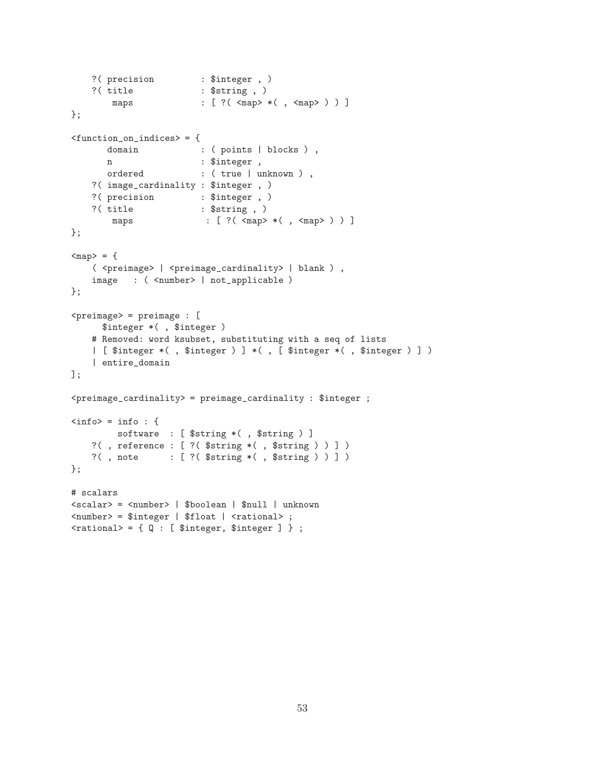```
?( precision : $integer , )
   ?( title : $string , )
       maps : [ ?( <map> *( , <map> ) ) ]
};
<function_on_indices> = {
      domain : ( points | blocks ),
      n : $integer,
      ordered : ( true | unknown ) ,
   ?( image_cardinality : $integer , )
   ?( precision : $integer, )
   ?( title : $string , )
       maps : [ ?( <map> *( , <map> ) ) ]
};
<sub>map</sub> = {</sub>
   ( <preimage> | <preimage_cardinality> | blank ) ,
   image : ( <number> | not_applicable )
};
\langlepreimage> = preimage : [
     $integer *( , $integer )
   # Removed: word ksubset, substituting with a seq of lists
   | [ $integer *( , $integer ) ] *( , [ $integer *( , $integer ) ] )
   | entire_domain
];
<preimage_cardinality> = preimage_cardinality : $integer ;
\langleinfo> = info : {
        software : [ $string *( , $string ) ]
   ?( , reference : [ ?( $string *( , $string ) ) ] )
   ?( , note : [ ?( $string *( , $string ) ) ] )
};
# scalars
<scalar> = <number> | $boolean | $null | unknown
<number> = $integer | $float | <rational> ;
\{
```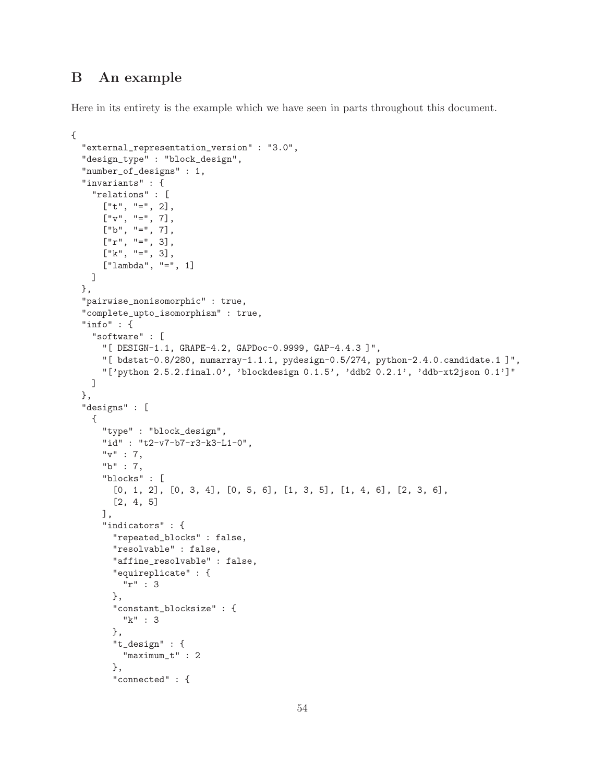## <span id="page-53-0"></span>B An example

Here in its entirety is the example which we have seen in parts throughout this document.

```
{
   "external_representation_version" : "3.0",
   "design_type" : "block_design",
   "number_of_designs" : 1,
   "invariants" : {
      "relations" : [
         ['t", "='', 2],\left[\begin{array}{ccc} \n\frac{1}{2} & \frac{1}{2} & \frac{1}{2} & \frac{1}{2} & \frac{1}{2} & \frac{1}{2} & \frac{1}{2} & \frac{1}{2} & \frac{1}{2} & \frac{1}{2} & \frac{1}{2} & \frac{1}{2} & \frac{1}{2} & \frac{1}{2} & \frac{1}{2} & \frac{1}{2} & \frac{1}{2} & \frac{1}{2} & \frac{1}{2} & \frac{1}{2} & \frac{1}{2} & \frac{1}{2} & \frac{1}{2} & \frac{1}{2} & \frac{1}{2} & \frac{1}{2} & \\begin{bmatrix} \n^{\text{m}} b^{\text{m}}, & \n^{\text{m}} = \n^{\text{m}}, & \n^{\text{m}} \n\end{bmatrix}["r", "=", 3],[''k", "='', 3],["lambda", "=", 1]
     ]
   },
   "pairwise_nonisomorphic" : true,
   "complete_upto_isomorphism" : true,
   "info" : {
     "software" : [
         "[ DESIGN-1.1, GRAPE-4.2, GAPDoc-0.9999, GAP-4.4.3 ]",
         "[ bdstat-0.8/280, numarray-1.1.1, pydesign-0.5/274, python-2.4.0.candidate.1 ]",
         "['python 2.5.2.final.0', 'blockdesign 0.1.5', 'ddb2 0.2.1', 'ddb-xt2json 0.1']"
     ]
   },
   "designs" : [
     {
        "type" : "block_design",
         "id" : "t2-v7-b7-r3-k3-L1-0",
         "v" : 7,
         "b" : 7,
         "blocks" : [
            [0, 1, 2], [0, 3, 4], [0, 5, 6], [1, 3, 5], [1, 4, 6], [2, 3, 6],
            [2, 4, 5]
         ],
         "indicators" : {
            "repeated_blocks" : false,
            "resolvable" : false,
            "affine_resolvable" : false,
            "equireplicate" : {
               "r" : 3
            },
            "constant_blocksize" : {
               "k" : 3
            },
            "t_design" : {
               "maximum_t" : 2
            },
            "connected" : {
```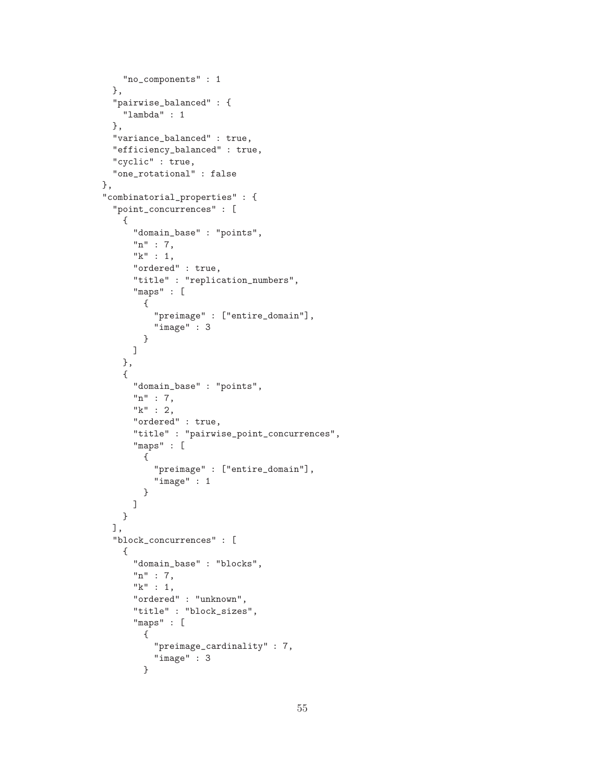```
"no_components" : 1
 },
  "pairwise_balanced" : {
    "lambda" : 1
 },
  "variance_balanced" : true,
  "efficiency_balanced" : true,
  "cyclic" : true,
  "one_rotational" : false
},
"combinatorial_properties" : {
  "point_concurrences" : [
    {
      "domain_base" : "points",
      "n" : 7,
      "k" : 1,
      "ordered" : true,
      "title" : "replication_numbers",
      "maps" : [
        {
          "preimage" : ["entire_domain"],
          "image" : 3
        }
      ]
    },
    {
      "domain_base" : "points",
      "n" : 7,
      "k" :: 2,"ordered" : true,
      "title" : "pairwise_point_concurrences",
      "maps" : [
        {
          "preimage" : ["entire_domain"],
          "image" : 1
        }
      ]
    }
 ],
  "block_concurrences" : [
    {
      "domain_base" : "blocks",
      "n" : 7,
      "k" : 1,
      "ordered" : "unknown",
      "title" : "block_sizes",
      "maps" : [
        {
          "preimage_cardinality" : 7,
          "image" : 3
        }
```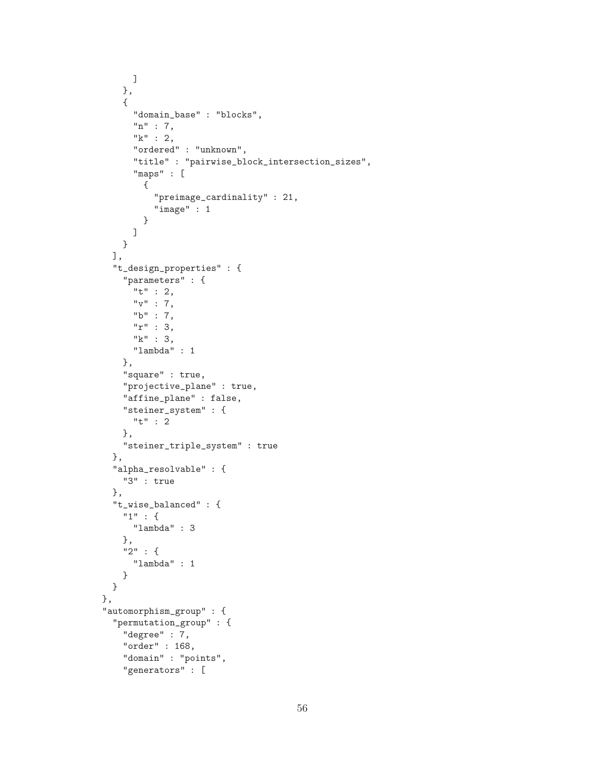```
]
    },
    {
      "domain_base" : "blocks",
      "n" : 7,
      "k" : 2,
      "ordered" : "unknown",
      "title" : "pairwise_block_intersection_sizes",
      "maps" : [
        {
          "preimage_cardinality" : 21,
          "image" : 1
        }
      ]
    }
  ],
  "t_design_properties" : {
    "parameters" : {
      "t" : 2,
      "v" : 7,
      "b" : 7,
      "r" : 3,
      "k" : 3,
      "lambda" : 1
    },
    "square" : true,
    "projective_plane" : true,
    "affine_plane" : false,
    "steiner_system" : {
      "t" : 2
    },
    "steiner_triple_system" : true
 },
  "alpha_resolvable" : {
    "3" : true
  },
  "t_wise_balanced" : {
    "1" : {
      "lambda" : 3
    },
    "2" : {
      "lambda" : 1
    }
 }
},
"automorphism_group" : {
  "permutation_group" : {
    "degree" : 7,
    "order" : 168,
    "domain" : "points",
    "generators" : [
```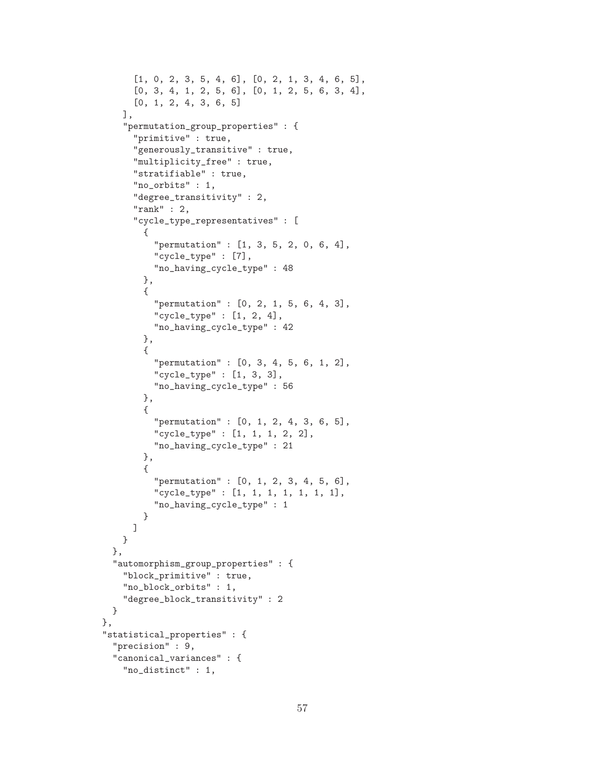```
[1, 0, 2, 3, 5, 4, 6], [0, 2, 1, 3, 4, 6, 5],
      [0, 3, 4, 1, 2, 5, 6], [0, 1, 2, 5, 6, 3, 4],
      [0, 1, 2, 4, 3, 6, 5]
   ],
    "permutation_group_properties" : {
      "primitive" : true,
      "generously_transitive" : true,
      "multiplicity_free" : true,
      "stratifiable" : true,
      "no_orbits" : 1,
      "degree_transitivity" : 2,
      "rank" : 2,
      "cycle_type_representatives" : [
       {
          "permutation" : [1, 3, 5, 2, 0, 6, 4],
          "cycle_type" : [7],
          "no_having_cycle_type" : 48
       },
       {
          "permutation" : [0, 2, 1, 5, 6, 4, 3],
          "cycle_type" : [1, 2, 4],
          "no_having_cycle_type" : 42
       },
       {
          "permutation" : [0, 3, 4, 5, 6, 1, 2],
          "cycle_type" : [1, 3, 3],
          "no_having_cycle_type" : 56
       },
       {
          "permutation" : [0, 1, 2, 4, 3, 6, 5],
          "cycle_type" : [1, 1, 1, 2, 2],
          "no_having_cycle_type" : 21
       },
       {
          "permutation" : [0, 1, 2, 3, 4, 5, 6],
          "cycle_type" : [1, 1, 1, 1, 1, 1, 1],
          "no_having_cycle_type" : 1
       }
      ]
   }
 },
 "automorphism_group_properties" : {
   "block_primitive" : true,
    "no_block_orbits" : 1,
    "degree_block_transitivity" : 2
 }
"statistical_properties" : {
 "precision" : 9,
 "canonical_variances" : {
   "no_distinct" : 1,
```
},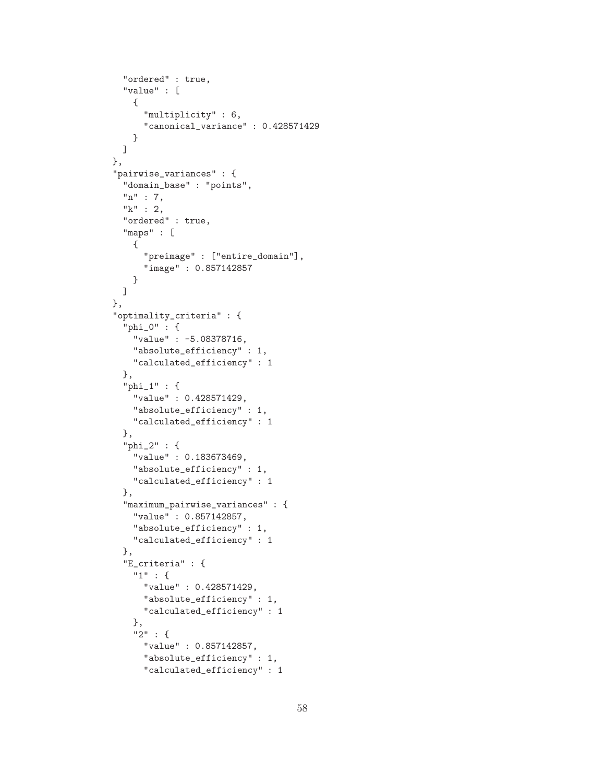```
"ordered" : true,
  "value" : [
   {
      "multiplicity" : 6,
      "canonical_variance" : 0.428571429
   }
 ]
},
"pairwise_variances" : {
  "domain_base" : "points",
  "n" : 7,
  "k" : 2,
  "ordered" : true,
  "maps" : [
    {
      "preimage" : ["entire_domain"],
      "image" : 0.857142857
    }
 ]
},
"optimality_criteria" : {
  "phi_0" : {
    "value" : -5.08378716,
    "absolute_efficiency" : 1,
    "calculated_efficiency" : 1
  },
  "phi_1" : {
    "value" : 0.428571429,
    "absolute_efficiency" : 1,
    "calculated_efficiency" : 1
 },
  "phi_2" : {
    "value" : 0.183673469,
    "absolute_efficiency" : 1,
    "calculated_efficiency" : 1
  },
  "maximum_pairwise_variances" : {
    "value" : 0.857142857,
    "absolute_efficiency" : 1,
    "calculated_efficiency" : 1
  },
  "E_criteria" : {
    "1" : {
      "value" : 0.428571429,
      "absolute_efficiency" : 1,
      "calculated_efficiency" : 1
    },
    "2" : {
      "value" : 0.857142857,
      "absolute_efficiency" : 1,
      "calculated_efficiency" : 1
```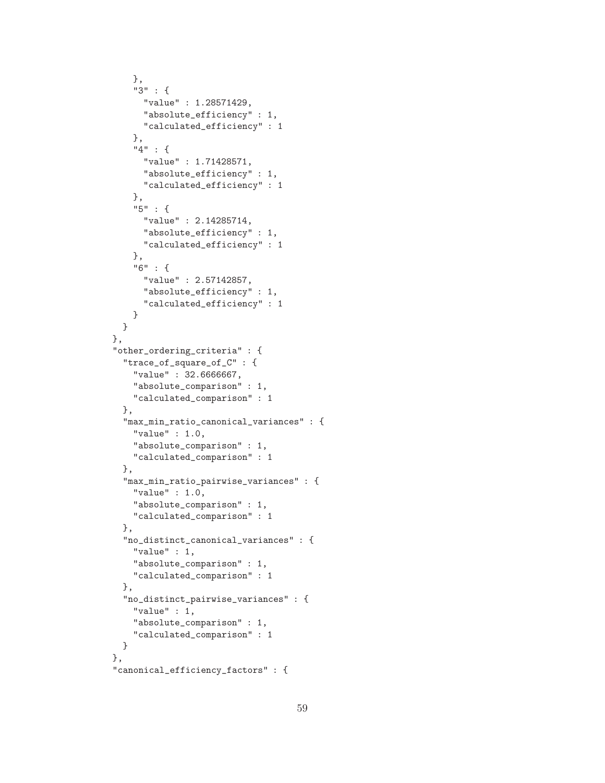```
},
    "3" : {
      "value" : 1.28571429,
      "absolute_efficiency" : 1,
      "calculated_efficiency" : 1
    },
    "4" : {
      "value" : 1.71428571,
      "absolute_efficiency" : 1,
      "calculated_efficiency" : 1
    },
    "5" : {
      "value" : 2.14285714,
      "absolute_efficiency" : 1,
      "calculated_efficiency" : 1
    },
    "6" : {
      "value" : 2.57142857,
      "absolute_efficiency" : 1,
      "calculated_efficiency" : 1
   }
  }
},
"other_ordering_criteria" : {
  "trace_of_square_of_C" : {
    "value" : 32.6666667,
    "absolute_comparison" : 1,
    "calculated_comparison" : 1
  },
  "max_min_ratio_canonical_variances" : {
    "value" : 1.0,
    "absolute_comparison" : 1,
    "calculated_comparison" : 1
  },
  "max_min_ratio_pairwise_variances" : {
    "value" : 1.0,
    "absolute_comparison" : 1,
    "calculated_comparison" : 1
 },
  "no_distinct_canonical_variances" : {
    "value" : 1,
    "absolute_comparison" : 1,
    "calculated_comparison" : 1
  },
  "no_distinct_pairwise_variances" : {
    "value" : 1,
    "absolute_comparison" : 1,
    "calculated_comparison" : 1
  }
},
"canonical_efficiency_factors" : {
```